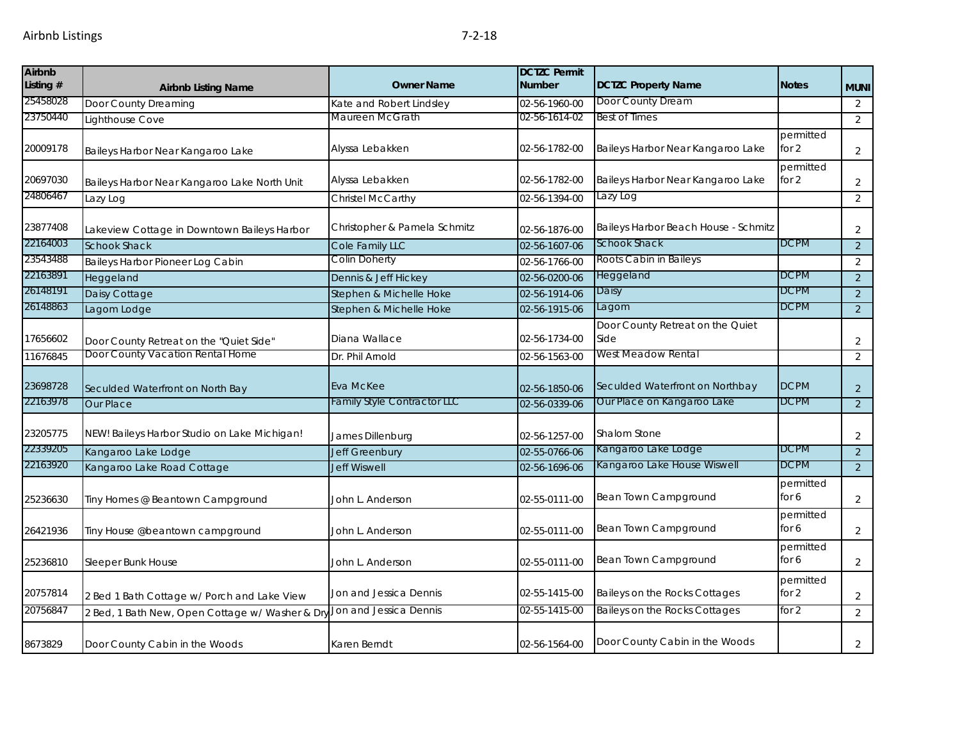| <b>Airbnb</b><br>Listing # | <b>Airbnb Listing Name</b>                      | <b>Owner Name</b>                  | <b>DCTZC Permit</b><br><b>Number</b> | <b>DCTZC Property Name</b>               | <b>Notes</b>         | <b>MUNI</b>    |
|----------------------------|-------------------------------------------------|------------------------------------|--------------------------------------|------------------------------------------|----------------------|----------------|
| 25458028                   | Door County Dreaming                            | Kate and Robert Lindsley           | 02-56-1960-00                        | Door County Dream                        |                      | 2              |
| 23750440                   | Lighthouse Cove                                 | Maureen McGrath                    | 02-56-1614-02                        | Best of Times                            |                      | $\overline{2}$ |
| 20009178                   | Baileys Harbor Near Kangaroo Lake               | Alyssa Lebakken                    | 02-56-1782-00                        | Baileys Harbor Near Kangaroo Lake        | permitted<br>for $2$ | 2              |
| 20697030                   | Baileys Harbor Near Kangaroo Lake North Unit    | Alyssa Lebakken                    | 02-56-1782-00                        | Baileys Harbor Near Kangaroo Lake        | permitted<br>for 2   | $\overline{2}$ |
| 24806467                   | Lazy Log                                        | Christel McCarthy                  | 02-56-1394-00                        | Lazy Log                                 |                      | $\overline{2}$ |
| 23877408                   | Lakeview Cottage in Downtown Baileys Harbor     | Christopher & Pamela Schmitz       | 02-56-1876-00                        | Baileys Harbor Beach House - Schmitz     |                      | 2              |
| 22164003                   | <b>Schook Shack</b>                             | Cole Family LLC                    | 02-56-1607-06                        | <b>Schook Shack</b>                      | <b>DCPM</b>          | $\overline{2}$ |
| 23543488                   | Baileys Harbor Pioneer Log Cabin                | <b>Colin Doherty</b>               | 02-56-1766-00                        | Roots Cabin in Baileys                   |                      | 2              |
| 22163891                   | Heggeland                                       | Dennis & Jeff Hickey               | 02-56-0200-06                        | Heggeland                                | <b>DCPM</b>          | $\overline{2}$ |
| 26148191                   | Daisy Cottage                                   | Stephen & Michelle Hoke            | 02-56-1914-06                        | Daisy                                    | <b>DCPM</b>          | $\overline{2}$ |
| 26148863                   | Lagom Lodge                                     | Stephen & Michelle Hoke            | 02-56-1915-06                        | Lagom                                    | <b>DCPM</b>          | $\overline{2}$ |
| 17656602                   | Door County Retreat on the "Quiet Side"         | Diana Wallace                      | 02-56-1734-00                        | Door County Retreat on the Quiet<br>Side |                      | $\overline{2}$ |
| 11676845                   | Door County Vacation Rental Home                | Dr. Phil Arnold                    | 02-56-1563-00                        | West Meadow Rental                       |                      | $\overline{2}$ |
| 23698728                   | Seculded Waterfront on North Bay                | Eva McKee                          | 02-56-1850-06                        | Seculded Waterfront on Northbay          | <b>DCPM</b>          | $\overline{2}$ |
| 22163978                   | Our Place                                       | <b>Family Style Contractor LLC</b> | 02-56-0339-06                        | Our Place on Kangaroo Lake               | <b>DCPM</b>          | $\overline{2}$ |
| 23205775                   | NEW! Baileys Harbor Studio on Lake Michigan!    | James Dillenburg                   | 02-56-1257-00                        | <b>Shalom Stone</b>                      |                      | 2              |
| 22339205                   | Kangaroo Lake Lodge                             | <b>Jeff Greenbury</b>              | 02-55-0766-06                        | Kangaroo Lake Lodge                      | <b>DCPM</b>          | $\overline{2}$ |
| 22163920                   | Kangaroo Lake Road Cottage                      | <b>Jeff Wiswell</b>                | 02-56-1696-06                        | Kangaroo Lake House Wiswell              | <b>DCPM</b>          | 2              |
| 25236630                   | Tiny Homes @ Beantown Campground                | John L. Anderson                   | 02-55-0111-00                        | Bean Town Campground                     | permitted<br>for 6   | 2              |
| 26421936                   | Tiny House @beantown campground                 | John L. Anderson                   | 02-55-0111-00                        | Bean Town Campground                     | permitted<br>for 6   | $\overline{2}$ |
| 25236810                   | Sleeper Bunk House                              | John L. Anderson                   | 02-55-0111-00                        | Bean Town Campground                     | permitted<br>for 6   | 2              |
| 20757814                   | 2 Bed 1 Bath Cottage w/ Porch and Lake View     | Jon and Jessica Dennis             | 02-55-1415-00                        | Baileys on the Rocks Cottages            | permitted<br>for 2   | $\overline{2}$ |
| 20756847                   | 2 Bed, 1 Bath New, Open Cottage w/ Washer & Dry | Jon and Jessica Dennis             | 02-55-1415-00                        | <b>Baileys on the Rocks Cottages</b>     | for 2                | $\overline{2}$ |
| 8673829                    | Door County Cabin in the Woods                  | Karen Berndt                       | 02-56-1564-00                        | Door County Cabin in the Woods           |                      | 2              |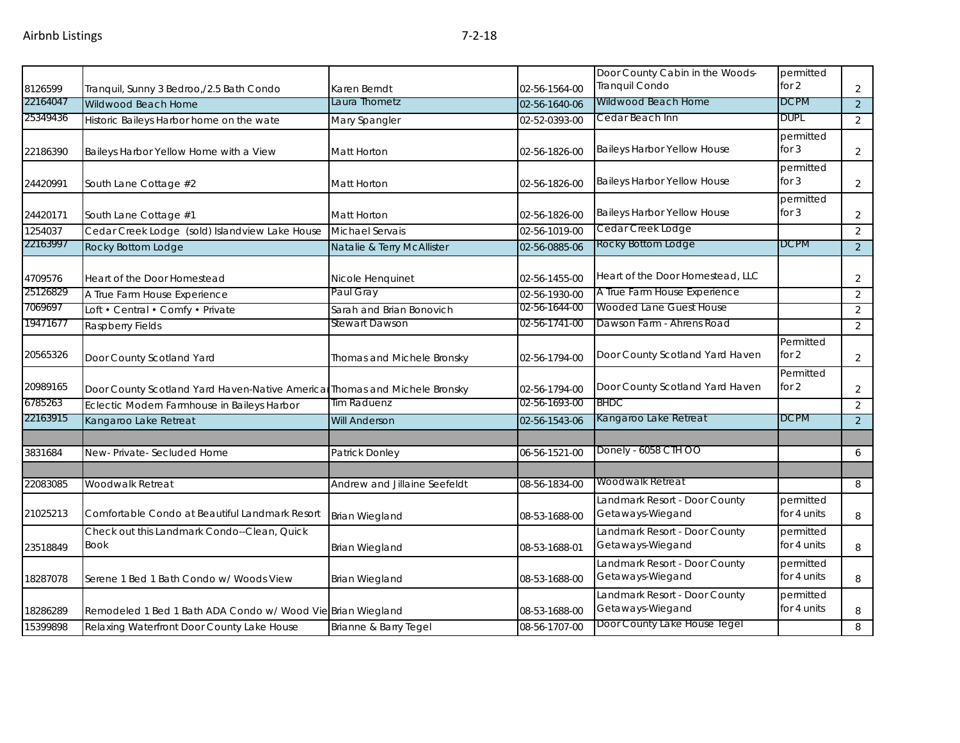|                     |                                                                            |                               |                                | Door County Cabin in the Woods-<br>Tranquil Condo | permitted<br>for 2       |                                  |
|---------------------|----------------------------------------------------------------------------|-------------------------------|--------------------------------|---------------------------------------------------|--------------------------|----------------------------------|
| 8126599<br>22164047 | Tranquil, Sunny 3 Bedroo, / 2.5 Bath Condo<br>Wildwood Beach Home          | Karen Berndt<br>Laura Thometz | 02-56-1564-00<br>02-56-1640-06 | Wildwood Beach Home                               | <b>DCPM</b>              | $\overline{2}$<br>$\overline{2}$ |
| 25349436            | Historic Baileys Harbor home on the wate                                   | Mary Spangler                 | 02-52-0393-00                  | Cedar Beach Inn                                   | <b>DUPL</b>              | 2                                |
|                     |                                                                            |                               |                                |                                                   | permitted                |                                  |
| 22186390            | Baileys Harbor Yellow Home with a View                                     | Matt Horton                   | 02-56-1826-00                  | Baileys Harbor Yellow House                       | for $3$                  | $\overline{2}$                   |
| 24420991            | South Lane Cottage #2                                                      | Matt Horton                   | 02-56-1826-00                  | <b>Baileys Harbor Yellow House</b>                | permitted<br>for $3$     | $\overline{2}$                   |
|                     |                                                                            |                               |                                |                                                   | permitted                |                                  |
| 24420171            | South Lane Cottage #1                                                      | Matt Horton                   | 02-56-1826-00                  | <b>Baileys Harbor Yellow House</b>                | for $3$                  | $\overline{2}$                   |
| 1254037             | Cedar Creek Lodge (sold) Islandview Lake House                             | Michael Servais               | 02-56-1019-00                  | Cedar Creek Lodge                                 |                          | $\overline{2}$                   |
| 22163997            | Rocky Bottom Lodge                                                         | Natalie & Terry McAllister    | 02-56-0885-06                  | Rocky Bottom Lodge                                | <b>DCPM</b>              | 2                                |
| 4709576             | Heart of the Door Homestead                                                | Nicole Henquinet              | 02-56-1455-00                  | Heart of the Door Homestead, LLC                  |                          | $\overline{2}$                   |
| 25126829            | A True Farm House Experience                                               | Paul Gray                     | 02-56-1930-00                  | A True Farm House Experience                      |                          | $\overline{2}$                   |
| 7069697             | Loft • Central • Comfy • Private                                           | Sarah and Brian Bonovich      | 02-56-1644-00                  | Wooded Lane Guest House                           |                          | $\overline{2}$                   |
| 19471677            | Raspberry Fields                                                           | Stewart Dawson                | 02-56-1741-00                  | Dawson Farm - Ahrens Road                         |                          | $\overline{2}$                   |
| 20565326            | Door County Scotland Yard                                                  | Thomas and Michele Bronsky    | 02-56-1794-00                  | Door County Scotland Yard Haven                   | Permitted<br>for 2       | $\overline{2}$                   |
| 20989165            | Door County Scotland Yard Haven-Native Americal Thomas and Michele Bronsky |                               | 02-56-1794-00                  | Door County Scotland Yard Haven                   | Permitted<br>for 2       | $\overline{2}$                   |
| 6785263             | Eclectic Modern Farmhouse in Baileys Harbor                                | Tim Raduenz                   | 02-56-1693-00                  | <b>BHDC</b>                                       |                          | $\overline{2}$                   |
| 22163915            | Kangaroo Lake Retreat                                                      | <b>Will Anderson</b>          | 02-56-1543-06                  | Kangaroo Lake Retreat                             | <b>DCPM</b>              | $\overline{2}$                   |
|                     |                                                                            |                               |                                |                                                   |                          |                                  |
| 3831684             | New-Private-Secluded Home                                                  | Patrick Donley                | 06-56-1521-00                  | Donely - 6058 CTH OO                              |                          | 6                                |
| 22083085            | Woodwalk Retreat                                                           | Andrew and Jillaine Seefeldt  | 08-56-1834-00                  | Woodwalk Retreat                                  |                          | 8                                |
| 21025213            | Comfortable Condo at Beautiful Landmark Resort                             | <b>Brian Wiegland</b>         | 08-53-1688-00                  | Landmark Resort - Door County<br>Getaways-Wiegand | permitted<br>for 4 units | 8                                |
|                     | Check out this Landmark Condo--Clean, Quick                                |                               |                                | Landmark Resort - Door County                     | permitted                |                                  |
| 23518849            | <b>Book</b>                                                                | Brian Wiegland                | 08-53-1688-01                  | Getaways-Wiegand                                  | for 4 units              | 8                                |
| 18287078            | Serene 1 Bed 1 Bath Condo w/ Woods View                                    | <b>Brian Wiegland</b>         | 08-53-1688-00                  | Landmark Resort - Door County<br>Getaways-Wiegand | permitted<br>for 4 units | 8                                |
| 18286289            | Remodeled 1 Bed 1 Bath ADA Condo w/ Wood Vie Brian Wiegland                |                               | 08-53-1688-00                  | Landmark Resort - Door County<br>Getaways-Wiegand | permitted<br>for 4 units | 8                                |
| 15399898            | Relaxing Waterfront Door County Lake House                                 | Brianne & Barry Tegel         | 08-56-1707-00                  | Door County Lake House Tegel                      |                          | 8                                |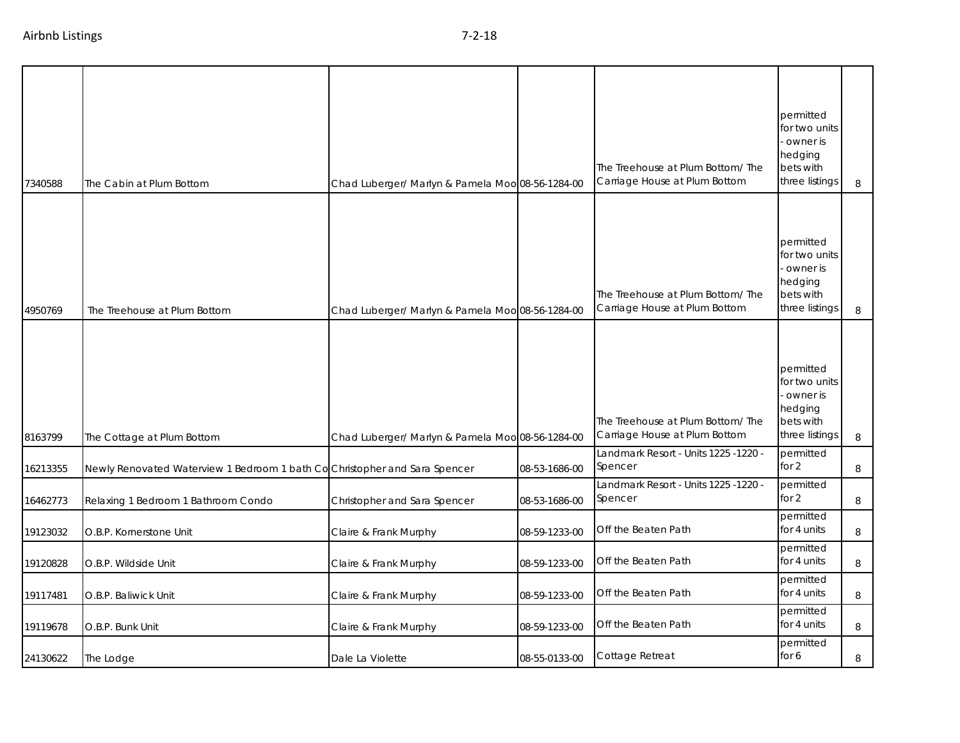| 7340588  | The Cabin at Plum Bottom                                                  | Chad Luberger/ Marlyn & Pamela Moo 08-56-1284-00 |               | The Treehouse at Plum Bottom/The<br>Carriage House at Plum Bottom  | permitted<br>for two units<br>owner is<br>hedging<br>bets with<br>three listings | 8       |
|----------|---------------------------------------------------------------------------|--------------------------------------------------|---------------|--------------------------------------------------------------------|----------------------------------------------------------------------------------|---------|
| 4950769  | The Treehouse at Plum Bottom                                              | Chad Luberger/ Marlyn & Pamela Moo 08-56-1284-00 |               | The Treehouse at Plum Bottom/ The<br>Carriage House at Plum Bottom | permitted<br>for two units<br>owner is<br>hedging<br>bets with<br>three listings | 8       |
| 8163799  | The Cottage at Plum Bottom                                                | Chad Luberger/ Marlyn & Pamela Moo 08-56-1284-00 |               | The Treehouse at Plum Bottom/ The<br>Carriage House at Plum Bottom | permitted<br>for two units<br>owner is<br>hedging<br>bets with<br>three listings | $\, 8$  |
| 16213355 | Newly Renovated Waterview 1 Bedroom 1 bath CoChristopher and Sara Spencer |                                                  | 08-53-1686-00 | Landmark Resort - Units 1225 -1220 -<br>Spencer                    | permitted<br>for 2                                                               | $\, 8$  |
| 16462773 | Relaxing 1 Bedroom 1 Bathroom Condo                                       | Christopher and Sara Spencer                     | 08-53-1686-00 | Landmark Resort - Units 1225 -1220 -<br>Spencer                    | permitted<br>for 2                                                               | 8       |
| 19123032 | O.B.P. Kornerstone Unit                                                   | Claire & Frank Murphy                            | 08-59-1233-00 | Off the Beaten Path                                                | permitted<br>for 4 units                                                         | 8       |
| 19120828 | O.B.P. Wildside Unit                                                      | Claire & Frank Murphy                            | 08-59-1233-00 | Off the Beaten Path                                                | permitted<br>for 4 units                                                         | 8       |
| 19117481 | O.B.P. Baliwick Unit                                                      | Claire & Frank Murphy                            | 08-59-1233-00 | Off the Beaten Path                                                | permitted<br>for 4 units                                                         | 8       |
| 19119678 | O.B.P. Bunk Unit                                                          | Claire & Frank Murphy                            | 08-59-1233-00 | Off the Beaten Path                                                | permitted<br>for 4 units                                                         | $\,8\,$ |
| 24130622 | The Lodge                                                                 | Dale La Violette                                 | 08-55-0133-00 | Cottage Retreat                                                    | permitted<br>for 6                                                               | 8       |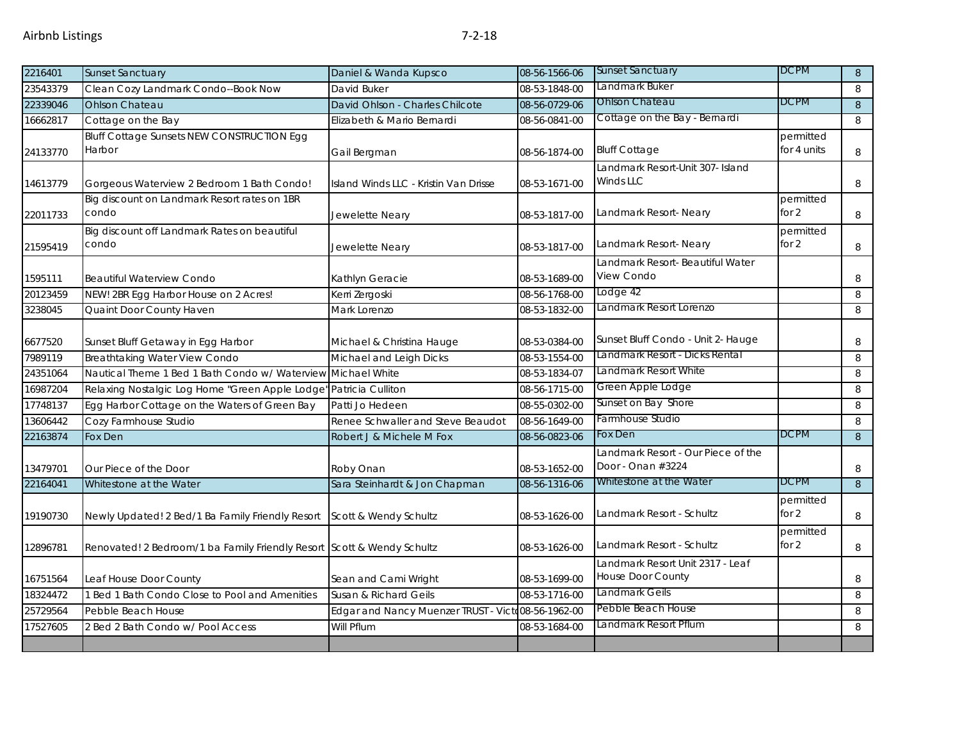| 2216401  | <b>Sunset Sanctuary</b>                                                | Daniel & Wanda Kupsco                              | 08-56-1566-06 | <b>Sunset Sanctuary</b>                                 | <b>DCPM</b>              | 8              |
|----------|------------------------------------------------------------------------|----------------------------------------------------|---------------|---------------------------------------------------------|--------------------------|----------------|
| 23543379 | Clean Cozy Landmark Condo--Book Now                                    | David Buker                                        | 08-53-1848-00 | Landmark Buker                                          |                          | 8              |
| 22339046 | <b>Ohlson Chateau</b>                                                  | David Ohlson - Charles Chilcote                    | 08-56-0729-06 | <b>Ohlson Chateau</b>                                   | <b>DCPM</b>              | $8\phantom{1}$ |
| 16662817 | Cottage on the Bay                                                     | Elizabeth & Mario Bernardi                         | 08-56-0841-00 | Cottage on the Bay - Bernardi                           |                          | 8              |
| 24133770 | <b>Bluff Cottage Sunsets NEW CONSTRUCTION Egg</b><br>Harbor            | Gail Bergman                                       | 08-56-1874-00 | <b>Bluff Cottage</b>                                    | permitted<br>for 4 units | 8              |
| 14613779 | Gorgeous Waterview 2 Bedroom 1 Bath Condo!                             | Island Winds LLC - Kristin Van Drisse              | 08-53-1671-00 | Landmark Resort-Unit 307- Island<br>Winds LLC           |                          | 8              |
| 22011733 | Big discount on Landmark Resort rates on 1BR<br>condo                  | Jewelette Neary                                    | 08-53-1817-00 | Landmark Resort- Neary                                  | permitted<br>for $2$     | 8              |
| 21595419 | Big discount off Landmark Rates on beautiful<br>condo                  | Jewelette Neary                                    | 08-53-1817-00 | Landmark Resort- Neary                                  | permitted<br>for $2$     | 8              |
| 1595111  | <b>Beautiful Waterview Condo</b>                                       | Kathlyn Geracie                                    | 08-53-1689-00 | Landmark Resort- Beautiful Water<br>View Condo          |                          | 8              |
| 20123459 | NEW! 2BR Egg Harbor House on 2 Acres!                                  | Kerri Zergoski                                     | 08-56-1768-00 | Lodge 42                                                |                          | 8              |
| 3238045  | Quaint Door County Haven                                               | Mark Lorenzo                                       | 08-53-1832-00 | Landmark Resort Lorenzo                                 |                          | 8              |
| 6677520  | Sunset Bluff Getaway in Egg Harbor                                     | Michael & Christina Hauge                          | 08-53-0384-00 | Sunset Bluff Condo - Unit 2- Hauge                      |                          | 8              |
| 7989119  | Breathtaking Water View Condo                                          | Michael and Leigh Dicks                            | 08-53-1554-00 | Landmark Resort - Dicks Rental                          |                          | 8              |
| 24351064 | Nautical Theme 1 Bed 1 Bath Condo w/ Waterview                         | Michael White                                      | 08-53-1834-07 | Landmark Resort White                                   |                          | 8              |
| 16987204 | Relaxing Nostalgic Log Home "Green Apple Lodge" Patricia Culliton      |                                                    | 08-56-1715-00 | Green Apple Lodge                                       |                          | 8              |
| 17748137 | Egg Harbor Cottage on the Waters of Green Bay                          | Patti Jo Hedeen                                    | 08-55-0302-00 | Sunset on Bay Shore                                     |                          | 8              |
| 13606442 | Cozy Farmhouse Studio                                                  | Renee Schwaller and Steve Beaudot                  | 08-56-1649-00 | Farmhouse Studio                                        |                          | 8              |
| 22163874 | Fox Den                                                                | Robert J & Michele M Fox                           | 08-56-0823-06 | Fox Den                                                 | <b>DCPM</b>              | $\,8\,$        |
| 13479701 | Our Piece of the Door                                                  | Roby Onan                                          | 08-53-1652-00 | Landmark Resort - Our Piece of the<br>Door - Onan #3224 |                          | 8              |
| 22164041 | Whitestone at the Water                                                | Sara Steinhardt & Jon Chapman                      | 08-56-1316-06 | Whitestone at the Water                                 | <b>DCPM</b>              | 8              |
| 19190730 | Newly Updated! 2 Bed/1 Ba Family Friendly Resort                       | Scott & Wendy Schultz                              | 08-53-1626-00 | Landmark Resort - Schultz                               | permitted<br>for $2$     | 8              |
| 12896781 | Renovated! 2 Bedroom/1 ba Family Friendly Resort Scott & Wendy Schultz |                                                    | 08-53-1626-00 | Landmark Resort - Schultz                               | permitted<br>for 2       | 8              |
| 16751564 | Leaf House Door County                                                 | Sean and Cami Wright                               | 08-53-1699-00 | Landmark Resort Unit 2317 - Leaf<br>House Door County   |                          | 8              |
| 18324472 | 1 Bed 1 Bath Condo Close to Pool and Amenities                         | Susan & Richard Geils                              | 08-53-1716-00 | Landmark Geils                                          |                          | 8              |
| 25729564 | Pebble Beach House                                                     | Edgar and Nancy Muenzer TRUST - Victo08-56-1962-00 |               | Pebble Beach House                                      |                          | 8              |
| 17527605 | 2 Bed 2 Bath Condo w/ Pool Access                                      | Will Pflum                                         | 08-53-1684-00 | Landmark Resort Pflum                                   |                          | 8              |
|          |                                                                        |                                                    |               |                                                         |                          |                |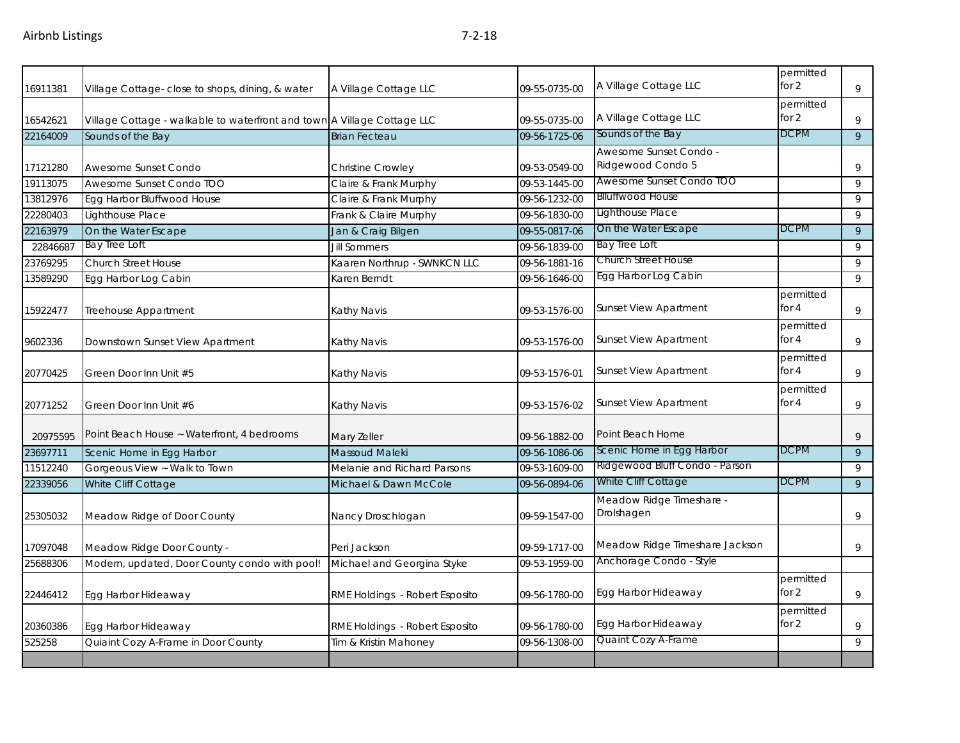| 16911381 | Village Cottage-close to shops, dining, & water                         | A Village Cottage LLC          | 09-55-0735-00 | A Village Cottage LLC                       | permitted<br>for $2$ | 9            |
|----------|-------------------------------------------------------------------------|--------------------------------|---------------|---------------------------------------------|----------------------|--------------|
| 16542621 | Village Cottage - walkable to waterfront and town A Village Cottage LLC |                                | 09-55-0735-00 | A Village Cottage LLC                       | permitted<br>for $2$ | 9            |
| 22164009 | Sounds of the Bay                                                       | <b>Brian Fecteau</b>           | 09-56-1725-06 | Sounds of the Bay                           | <b>DCPM</b>          | 9            |
| 17121280 | Awesome Sunset Condo                                                    | Christine Crowley              | 09-53-0549-00 | Awesome Sunset Condo -<br>Ridgewood Condo 5 |                      | 9            |
| 19113075 | Awesome Sunset Condo TOO                                                | Claire & Frank Murphy          | 09-53-1445-00 | Awesome Sunset Condo TOO                    |                      | 9            |
| 13812976 | Egg Harbor Bluffwood House                                              | Claire & Frank Murphy          | 09-56-1232-00 | <b>Blluffwood House</b>                     |                      | 9            |
| 22280403 | Lighthouse Place                                                        | Frank & Claire Murphy          | 09-56-1830-00 | Lighthouse Place                            |                      | 9            |
| 22163979 | On the Water Escape                                                     | Jan & Craig Bilgen             | 09-55-0817-06 | On the Water Escape                         | DCPM                 | 9            |
| 22846687 | Bay Tree Loft                                                           | <b>Jill Sommers</b>            | 09-56-1839-00 | Bay Tree Loft                               |                      | 9            |
| 23769295 | <b>Church Street House</b>                                              | Kaaren Northrup - SWNKCN LLC   | 09-56-1881-16 | Church Street House                         |                      | 9            |
| 13589290 | Egg Harbor Log Cabin                                                    | Karen Berndt                   | 09-56-1646-00 | Egg Harbor Log Cabin                        |                      | $\mathsf{Q}$ |
| 15922477 | Treehouse Appartment                                                    | Kathy Navis                    | 09-53-1576-00 | <b>Sunset View Apartment</b>                | permitted<br>for 4   | 9            |
| 9602336  | Downstown Sunset View Apartment                                         | Kathy Navis                    | 09-53-1576-00 | <b>Sunset View Apartment</b>                | permitted<br>for $4$ | 9            |
| 20770425 | Green Door Inn Unit #5                                                  | Kathy Navis                    | 09-53-1576-01 | <b>Sunset View Apartment</b>                | permitted<br>for $4$ | 9            |
| 20771252 | Green Door Inn Unit #6                                                  | Kathy Navis                    | 09-53-1576-02 | <b>Sunset View Apartment</b>                | permitted<br>for $4$ | 9            |
| 20975595 | Point Beach House ~ Waterfront, 4 bedrooms                              | Mary Zeller                    | 09-56-1882-00 | Point Beach Home                            |                      | 9            |
| 23697711 | Scenic Home in Egg Harbor                                               | Massoud Maleki                 | 09-56-1086-06 | Scenic Home in Egg Harbor                   | <b>DCPM</b>          | $\mathsf{Q}$ |
| 11512240 | Gorgeous View ~ Walk to Town                                            | Melanie and Richard Parsons    | 09-53-1609-00 | Ridgewood Bluff Condo - Parson              |                      | 9            |
| 22339056 | White Cliff Cottage                                                     | Michael & Dawn McCole          | 09-56-0894-06 | White Cliff Cottage                         | <b>DCPM</b>          | 9            |
| 25305032 | Meadow Ridge of Door County                                             | Nancy Droschlogan              | 09-59-1547-00 | Meadow Ridge Timeshare -<br>Drolshagen      |                      | 9            |
| 17097048 | Meadow Ridge Door County -                                              | Peri Jackson                   | 09-59-1717-00 | Meadow Ridge Timeshare Jackson              |                      | 9            |
| 25688306 | Modern, updated, Door County condo with pool!                           | Michael and Georgina Styke     | 09-53-1959-00 | Anchorage Condo - Style                     |                      |              |
| 22446412 | Egg Harbor Hideaway                                                     | RME Holdings - Robert Esposito | 09-56-1780-00 | Egg Harbor Hideaway                         | permitted<br>for $2$ | 9            |
| 20360386 | Egg Harbor Hideaway                                                     | RME Holdings - Robert Esposito | 09-56-1780-00 | Egg Harbor Hideaway                         | permitted<br>for 2   | 9            |
| 525258   | Quiaint Cozy A-Frame in Door County                                     | Tim & Kristin Mahoney          | 09-56-1308-00 | Quaint Cozy A-Frame                         |                      | 9            |
|          |                                                                         |                                |               |                                             |                      |              |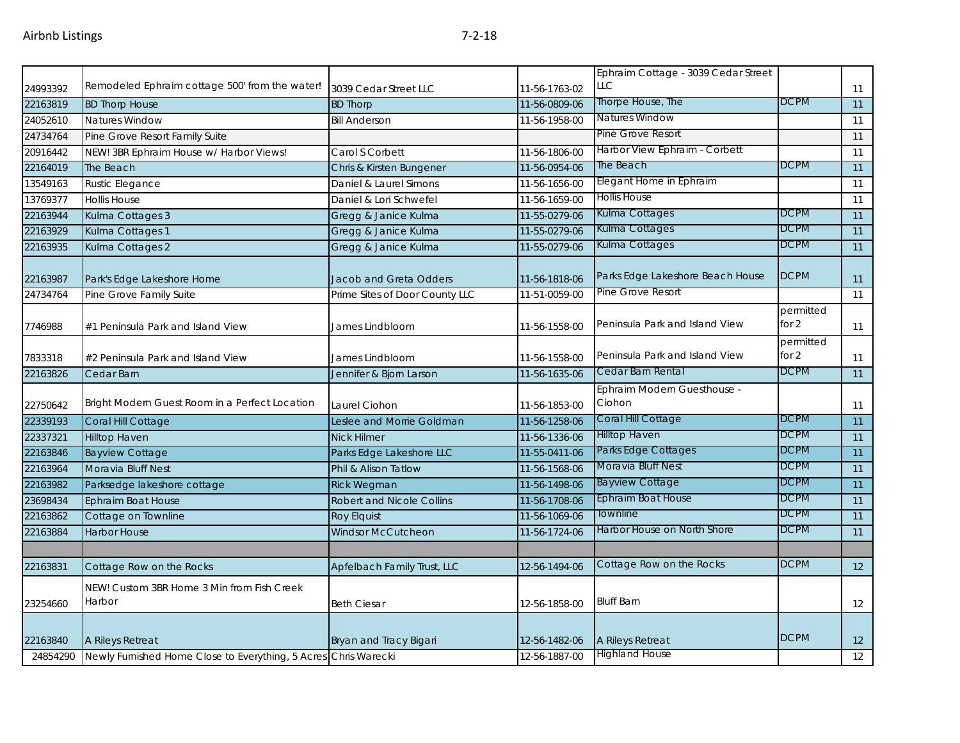|          | Remodeled Ephraim cottage 500' from the water!                  |                                  |               | Ephraim Cottage - 3039 Cedar Street<br>LLC |                      |                 |
|----------|-----------------------------------------------------------------|----------------------------------|---------------|--------------------------------------------|----------------------|-----------------|
| 24993392 |                                                                 | 3039 Cedar Street LLC            | 11-56-1763-02 | Thorpe House, The                          | <b>DCPM</b>          | 11              |
| 22163819 | <b>BD Thorp House</b>                                           | <b>BD Thorp</b>                  | 11-56-0809-06 | <b>Natures Window</b>                      |                      | 11              |
| 24052610 | <b>Natures Window</b>                                           | <b>Bill Anderson</b>             | 11-56-1958-00 | <b>Pine Grove Resort</b>                   |                      | 11              |
| 24734764 | Pine Grove Resort Family Suite                                  |                                  |               | Harbor View Ephraim - Corbett              |                      | 11              |
| 20916442 | NEW! 3BR Ephraim House w/ Harbor Views!                         | Carol S Corbett                  | 11-56-1806-00 | The Beach                                  | <b>DCPM</b>          | 11              |
| 22164019 | The Beach                                                       | Chris & Kirsten Bungener         | 11-56-0954-06 |                                            |                      | 11              |
| 13549163 | <b>Rustic Elegance</b>                                          | Daniel & Laurel Simons           | 11-56-1656-00 | Elegant Home in Ephraim                    |                      | 11              |
| 13769377 | <b>Hollis House</b>                                             | Daniel & Lori Schwefel           | 11-56-1659-00 | <b>Hollis House</b>                        |                      | 11              |
| 22163944 | Kulma Cottages 3                                                | Gregg & Janice Kulma             | 11-55-0279-06 | Kulma Cottages                             | <b>DCPM</b>          | 11              |
| 22163929 | Kulma Cottages 1                                                | Gregg & Janice Kulma             | 11-55-0279-06 | Kulma Cottages                             | <b>DCPM</b>          | 11              |
| 22163935 | Kulma Cottages 2                                                | Gregg & Janice Kulma             | 11-55-0279-06 | Kulma Cottages                             | <b>DCPM</b>          | 11              |
| 22163987 | Park's Edge Lakeshore Home                                      | Jacob and Greta Odders           | 11-56-1818-06 | Parks Edge Lakeshore Beach House           | <b>DCPM</b>          | 11              |
| 24734764 | Pine Grove Family Suite                                         | Prime Sites of Door County LLC   | 11-51-0059-00 | Pine Grove Resort                          |                      | 11              |
| 7746988  | #1 Peninsula Park and Island View                               | James Lindbloom                  | 11-56-1558-00 | Peninsula Park and Island View             | permitted<br>for $2$ | 11              |
| 7833318  | #2 Peninsula Park and Island View                               | James Lindbloom                  | 11-56-1558-00 | Peninsula Park and Island View             | permitted<br>for $2$ | 11              |
| 22163826 | Cedar Barn                                                      | Jennifer & Bjorn Larson          | 11-56-1635-06 | Cedar Barn Rental                          | <b>DCPM</b>          | 11              |
| 22750642 | Bright Modern Guest Room in a Perfect Location                  | Laurel Ciohon                    | 11-56-1853-00 | Ephraim Modern Guesthouse -<br>Ciohon      |                      | 11              |
| 22339193 | Coral Hill Cottage                                              | Leslee and Morrie Goldman        | 11-56-1258-06 | Coral Hill Cottage                         | <b>DCPM</b>          | 11              |
| 22337321 | <b>Hilltop Haven</b>                                            | <b>Nick Hilmer</b>               | 11-56-1336-06 | <b>Hilltop Haven</b>                       | <b>DCPM</b>          | 11              |
| 22163846 | <b>Bayview Cottage</b>                                          | Parks Edge Lakeshore LLC         | 11-55-0411-06 | Parks Edge Cottages                        | <b>DCPM</b>          | 11              |
| 22163964 | Moravia Bluff Nest                                              | Phil & Alison Tatlow             | 11-56-1568-06 | Moravia Bluff Nest                         | <b>DCPM</b>          | 11              |
| 22163982 | Parksedge lakeshore cottage                                     | <b>Rick Wegman</b>               | 11-56-1498-06 | <b>Bayview Cottage</b>                     | <b>DCPM</b>          | 11              |
| 23698434 | Ephraim Boat House                                              | <b>Robert and Nicole Collins</b> | 11-56-1708-06 | Ephraim Boat House                         | <b>DCPM</b>          | $\overline{11}$ |
| 22163862 | Cottage on Townline                                             | <b>Roy Elquist</b>               | 11-56-1069-06 | Townline                                   | <b>DCPM</b>          | 11              |
| 22163884 | <b>Harbor House</b>                                             | <b>Windsor McCutcheon</b>        | 11-56-1724-06 | Harbor House on North Shore                | <b>DCPM</b>          | 11              |
|          |                                                                 |                                  |               |                                            |                      |                 |
| 22163831 | Cottage Row on the Rocks                                        | Apfelbach Family Trust, LLC      | 12-56-1494-06 | Cottage Row on the Rocks                   | <b>DCPM</b>          | 12              |
| 23254660 | NEW! Custom 3BR Home 3 Min from Fish Creek<br>Harbor            | <b>Beth Ciesar</b>               | 12-56-1858-00 | <b>Bluff Barn</b>                          |                      | 12              |
| 22163840 | A Rileys Retreat                                                | Bryan and Tracy Bigari           | 12-56-1482-06 | A Rileys Retreat                           | <b>DCPM</b>          | 12              |
| 24854290 | Newly Furnished Home Close to Everything, 5 Acres Chris Warecki |                                  | 12-56-1887-00 | <b>Highland House</b>                      |                      | 12              |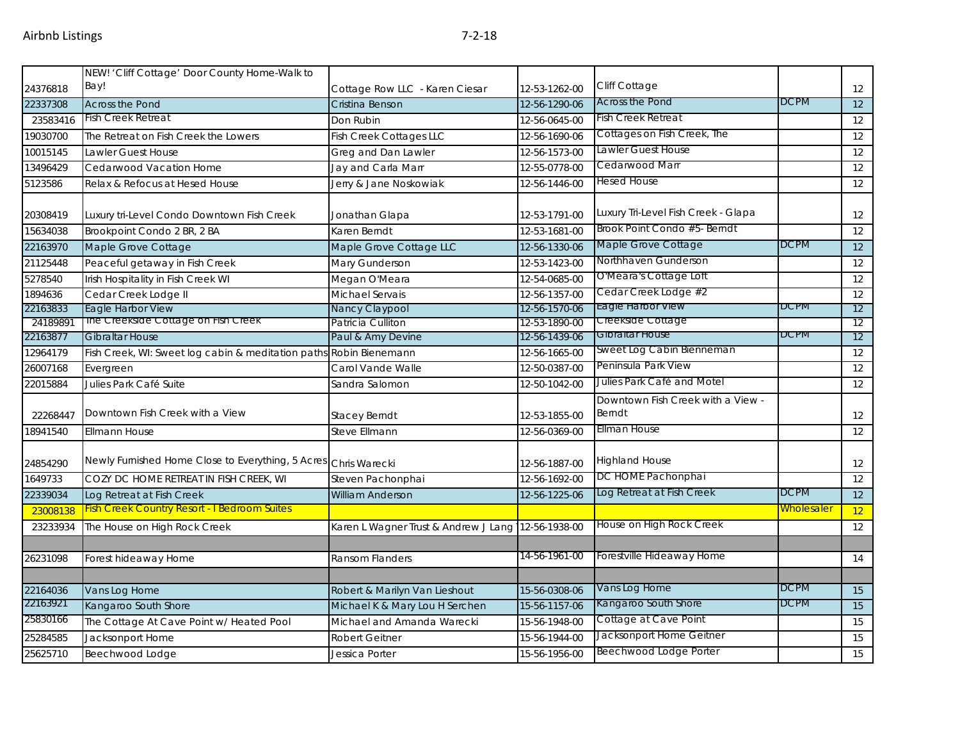|          | NEW! 'Cliff Cottage' Door County Home-Walk to                      |                                                    |               |                                             |                   |    |
|----------|--------------------------------------------------------------------|----------------------------------------------------|---------------|---------------------------------------------|-------------------|----|
| 24376818 | Bay!                                                               | Cottage Row LLC - Karen Ciesar                     | 12-53-1262-00 | Cliff Cottage                               |                   | 12 |
| 22337308 | <b>Across the Pond</b>                                             | Cristina Benson                                    | 12-56-1290-06 | <b>Across the Pond</b>                      | <b>DCPM</b>       | 12 |
| 23583416 | <b>Fish Creek Retreat</b>                                          | Don Rubin                                          | 12-56-0645-00 | <b>Fish Creek Retreat</b>                   |                   | 12 |
| 19030700 | The Retreat on Fish Creek the Lowers                               | <b>Fish Creek Cottages LLC</b>                     | 12-56-1690-06 | Cottages on Fish Creek, The                 |                   | 12 |
| 10015145 | Lawler Guest House                                                 | Greg and Dan Lawler                                | 12-56-1573-00 | Lawler Guest House                          |                   | 12 |
| 13496429 | Cedarwood Vacation Home                                            | Jay and Carla Marr                                 | 12-55-0778-00 | Cedarwood Marr                              |                   | 12 |
| 5123586  | Relax & Refocus at Hesed House                                     | Jerry & Jane Noskowiak                             | 12-56-1446-00 | <b>Hesed House</b>                          |                   | 12 |
| 20308419 | Luxury tri-Level Condo Downtown Fish Creek                         | Jonathan Glapa                                     | 12-53-1791-00 | Luxury Tri-Level Fish Creek - Glapa         |                   | 12 |
| 15634038 | Brookpoint Condo 2 BR, 2 BA                                        | Karen Berndt                                       | 12-53-1681-00 | Brook Point Condo #5- Berndt                |                   | 12 |
| 22163970 | Maple Grove Cottage                                                | Maple Grove Cottage LLC                            | 12-56-1330-06 | Maple Grove Cottage                         | DCPM              | 12 |
| 21125448 | Peaceful getaway in Fish Creek                                     | Mary Gunderson                                     | 12-53-1423-00 | Northhaven Gunderson                        |                   | 12 |
| 5278540  | Irish Hospitality in Fish Creek WI                                 | Megan O'Meara                                      | 12-54-0685-00 | O'Meara's Cottage Loft                      |                   | 12 |
| 1894636  | Cedar Creek Lodge II                                               | Michael Servais                                    | 12-56-1357-00 | Cedar Creek Lodge #2                        |                   | 12 |
| 22163833 | Eagle Harbor View                                                  | Nancy Claypool                                     | 12-56-1570-06 | <b>Lagie Harbor View</b>                    | DCPM              | 12 |
| 24189891 | The Creekside Cottage on Fish Creek                                | Patricia Culliton                                  | 12-53-1890-00 | Creekside Cottage                           |                   | 12 |
| 22163877 | <b>Gibraltar House</b>                                             | Paul & Amy Devine                                  | 12-56-1439-06 | Gibraitar House                             | DCPM              | 12 |
| 12964179 | Fish Creek, WI: Sweet log cabin & meditation paths Robin Bienemann |                                                    | 12-56-1665-00 | Sweet Log Cabin Bienneman                   |                   | 12 |
| 26007168 | Evergreen                                                          | Carol Vande Walle                                  | 12-50-0387-00 | Peninsula Park View                         |                   | 12 |
| 22015884 | Julies Park Café Suite                                             | Sandra Salomon                                     | 12-50-1042-00 | Julies Park Café and Motel                  |                   | 12 |
| 22268447 | Downtown Fish Creek with a View                                    | <b>Stacey Berndt</b>                               | 12-53-1855-00 | Downtown Fish Creek with a View -<br>Berndt |                   | 12 |
| 18941540 | Ellmann House                                                      | Steve Ellmann                                      | 12-56-0369-00 | Ellman House                                |                   | 12 |
| 24854290 | Newly Furnished Home Close to Everything, 5 Acres Chris Warecki    |                                                    | 12-56-1887-00 | <b>Highland House</b>                       |                   | 12 |
| 1649733  | COZY DC HOME RETREAT IN FISH CREEK, WI                             | Steven Pachonphai                                  | 12-56-1692-00 | DC HOME Pachonphai                          |                   | 12 |
| 22339034 | Log Retreat at Fish Creek                                          | <b>William Anderson</b>                            | 12-56-1225-06 | Log Retreat at Fish Creek                   | DCPM              | 12 |
| 23008138 | <b>Fish Creek Country Resort - I Bedroom Suites</b>                |                                                    |               |                                             | <b>Wholesaler</b> | 12 |
| 23233934 | The House on High Rock Creek                                       | Karen L Wagner Trust & Andrew J Lang 12-56-1938-00 |               | House on High Rock Creek                    |                   | 12 |
|          |                                                                    |                                                    |               |                                             |                   |    |
| 26231098 | Forest hideaway Home                                               | Ransom Flanders                                    | 14-56-1961-00 | Forestville Hideaway Home                   |                   | 14 |
|          |                                                                    |                                                    |               |                                             |                   |    |
| 22164036 | Vans Log Home                                                      | Robert & Marilyn Van Lieshout                      | 15-56-0308-06 | Vans Log Home                               | <b>DCPM</b>       | 15 |
| 22163921 | Kangaroo South Shore                                               | Michael K & Mary Lou H Serchen                     | 15-56-1157-06 | Kangaroo South Shore                        | <b>DCPM</b>       | 15 |
| 25830166 | The Cottage At Cave Point w/ Heated Pool                           | Michael and Amanda Warecki                         | 15-56-1948-00 | Cottage at Cave Point                       |                   | 15 |
| 25284585 | Jacksonport Home                                                   | <b>Robert Geitner</b>                              | 15-56-1944-00 | Jacksonport Home Geitner                    |                   | 15 |
| 25625710 | Beechwood Lodge                                                    | Jessica Porter                                     | 15-56-1956-00 | Beechwood Lodge Porter                      |                   | 15 |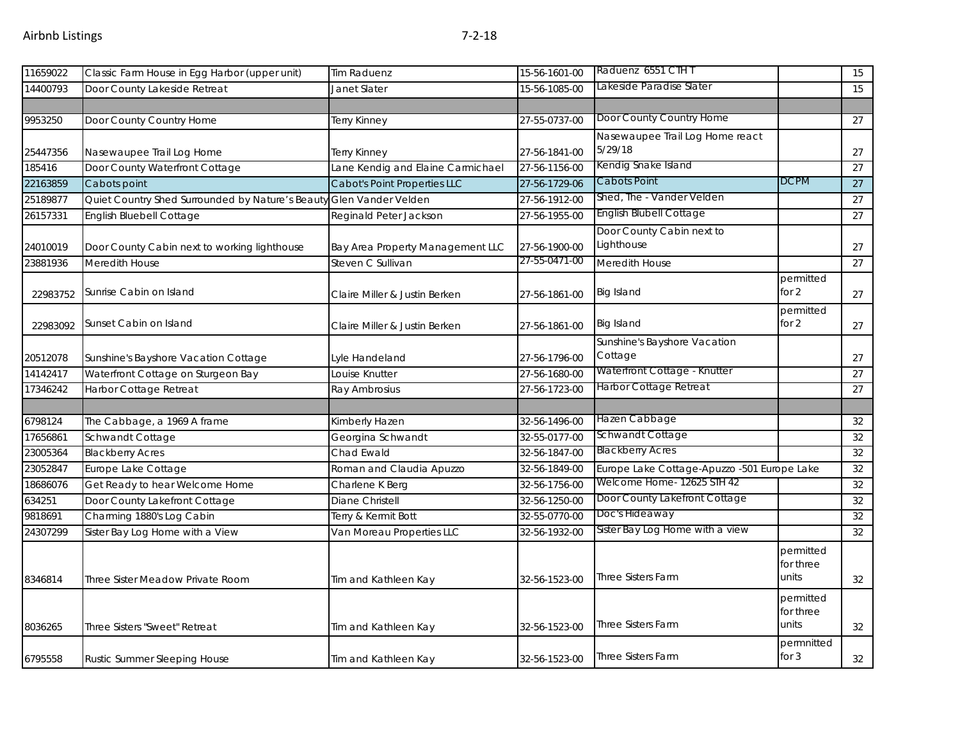| 11659022 | Classic Farm House in Egg Harbor (upper unit)                       | <b>Tim Raduenz</b>                  | 15-56-1601-00 | Raduenz 6551 CTH T                          |                                 | 15 |
|----------|---------------------------------------------------------------------|-------------------------------------|---------------|---------------------------------------------|---------------------------------|----|
| 14400793 | Door County Lakeside Retreat                                        | Janet Slater                        | 15-56-1085-00 | Lakeside Paradise Slater                    |                                 | 15 |
|          |                                                                     |                                     |               |                                             |                                 |    |
| 9953250  | Door County Country Home                                            | Terry Kinney                        | 27-55-0737-00 | Door County Country Home                    |                                 | 27 |
| 25447356 | Nasewaupee Trail Log Home                                           | Terry Kinney                        | 27-56-1841-00 | Nasewaupee Trail Log Home react<br>5/29/18  |                                 | 27 |
| 185416   | Door County Waterfront Cottage                                      | Lane Kendig and Elaine Carmichael   | 27-56-1156-00 | Kendig Snake Island                         |                                 | 27 |
| 22163859 | Cabots point                                                        | <b>Cabot's Point Properties LLC</b> | 27-56-1729-06 | Cabots Point                                | <b>DCPM</b>                     | 27 |
| 25189877 | Quiet Country Shed Surrounded by Nature's Beauty Glen Vander Velden |                                     | 27-56-1912-00 | Shed, The - Vander Velden                   |                                 | 27 |
| 26157331 | English Bluebell Cottage                                            | Reginald Peter Jackson              | 27-56-1955-00 | English Blubell Cottage                     |                                 | 27 |
| 24010019 | Door County Cabin next to working lighthouse                        | Bay Area Property Management LLC    | 27-56-1900-00 | Door County Cabin next to<br>Lighthouse     |                                 | 27 |
| 23881936 | Meredith House                                                      | Steven C Sullivan                   | 27-55-0471-00 | Meredith House                              |                                 | 27 |
| 22983752 | Sunrise Cabin on Island                                             | Claire Miller & Justin Berken       | 27-56-1861-00 | Big Island                                  | permitted<br>for 2              | 27 |
| 22983092 | Sunset Cabin on Island                                              | Claire Miller & Justin Berken       | 27-56-1861-00 | Big Island                                  | permitted<br>for 2              | 27 |
| 20512078 | Sunshine's Bayshore Vacation Cottage                                | Lyle Handeland                      | 27-56-1796-00 | Sunshine's Bayshore Vacation<br>Cottage     |                                 | 27 |
| 14142417 | Waterfront Cottage on Sturgeon Bay                                  | Louise Knutter                      | 27-56-1680-00 | Waterfront Cottage - Knutter                |                                 | 27 |
| 17346242 | Harbor Cottage Retreat                                              | Ray Ambrosius                       | 27-56-1723-00 | Harbor Cottage Retreat                      |                                 | 27 |
|          |                                                                     |                                     |               |                                             |                                 |    |
| 6798124  | The Cabbage, a 1969 A frame                                         | Kimberly Hazen                      | 32-56-1496-00 | Hazen Cabbage                               |                                 | 32 |
| 17656861 | Schwandt Cottage                                                    | Georgina Schwandt                   | 32-55-0177-00 | Schwandt Cottage                            |                                 | 32 |
| 23005364 | <b>Blackberry Acres</b>                                             | Chad Ewald                          | 32-56-1847-00 | <b>Blackberry Acres</b>                     |                                 | 32 |
| 23052847 | Europe Lake Cottage                                                 | Roman and Claudia Apuzzo            | 32-56-1849-00 | Europe Lake Cottage-Apuzzo -501 Europe Lake |                                 | 32 |
| 18686076 | Get Ready to hear Welcome Home                                      | Charlene K Berg                     | 32-56-1756-00 | Welcome Home- 12625 STH 42                  |                                 | 32 |
| 634251   | Door County Lakefront Cottage                                       | Diane Christell                     | 32-56-1250-00 | Door County Lakefront Cottage               |                                 | 32 |
| 9818691  | Charming 1880's Log Cabin                                           | Terry & Kermit Bott                 | 32-55-0770-00 | Doc's Hideaway                              |                                 | 32 |
| 24307299 | Sister Bay Log Home with a View                                     | Van Moreau Properties LLC           | 32-56-1932-00 | Sister Bay Log Home with a view             |                                 | 32 |
| 8346814  | Three Sister Meadow Private Room                                    | Tim and Kathleen Kay                | 32-56-1523-00 | <b>Three Sisters Farm</b>                   | permitted<br>for three<br>units | 32 |
| 8036265  | Three Sisters "Sweet" Retreat                                       | Tim and Kathleen Kay                | 32-56-1523-00 | <b>Three Sisters Farm</b>                   | permitted<br>for three<br>units | 32 |
| 6795558  | Rustic Summer Sleeping House                                        | Tim and Kathleen Kay                | 32-56-1523-00 | <b>Three Sisters Farm</b>                   | permnitted<br>for $3$           | 32 |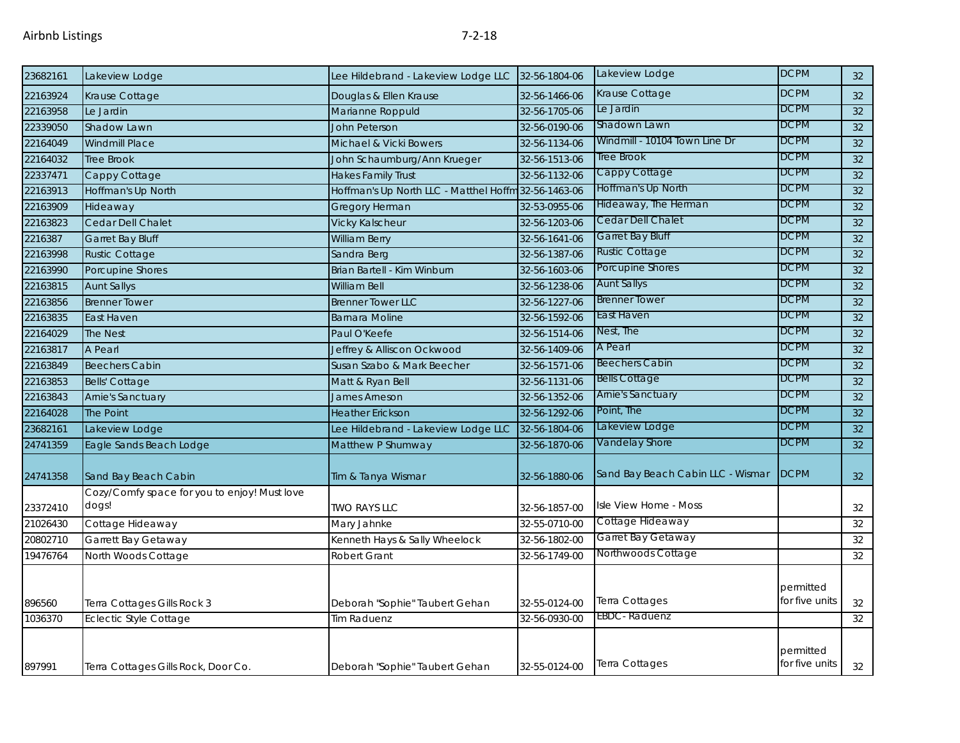| 23682161 | Lakeview Lodge                               | Lee Hildebrand - Lakeview Lodge LLC                  | 32-56-1804-06 | Lakeview Lodge                    | <b>DCPM</b>                 | 32              |
|----------|----------------------------------------------|------------------------------------------------------|---------------|-----------------------------------|-----------------------------|-----------------|
| 22163924 | Krause Cottage                               | Douglas & Ellen Krause                               | 32-56-1466-06 | Krause Cottage                    | <b>DCPM</b>                 | 32 <sup>2</sup> |
| 22163958 | Le Jardin                                    | Marianne Roppuld                                     | 32-56-1705-06 | Le Jardin                         | <b>DCPM</b>                 | $\overline{32}$ |
| 22339050 | Shadow Lawn                                  | <b>John Peterson</b>                                 | 32-56-0190-06 | Shadown Lawn                      | <b>DCPM</b>                 | 32              |
| 22164049 | <b>Windmill Place</b>                        | Michael & Vicki Bowers                               | 32-56-1134-06 | Windmill - 10104 Town Line Dr     | <b>DCPM</b>                 | 32              |
| 22164032 | <b>Tree Brook</b>                            | John Schaumburg/Ann Krueger                          | 32-56-1513-06 | Tree Brook                        | <b>DCPM</b>                 | 32              |
| 22337471 | Cappy Cottage                                | <b>Hakes Family Trust</b>                            | 32-56-1132-06 | Cappy Cottage                     | <b>DCPM</b>                 | 32              |
| 22163913 | Hoffman's Up North                           | Hoffman's Up North LLC - Matthel Hoffm 32-56-1463-06 |               | Hoffman's Up North                | <b>DCPM</b>                 | 32              |
| 22163909 | Hideaway                                     | Gregory Herman                                       | 32-53-0955-06 | Hideaway, The Herman              | <b>DCPM</b>                 | 32              |
| 22163823 | Cedar Dell Chalet                            | <b>Vicky Kalscheur</b>                               | 32-56-1203-06 | Cedar Dell Chalet                 | <b>DCPM</b>                 | 32              |
| 2216387  | <b>Garret Bay Bluff</b>                      | <b>William Berry</b>                                 | 32-56-1641-06 | <b>Garret Bay Bluff</b>           | <b>DCPM</b>                 | 32              |
| 22163998 | Rustic Cottage                               | Sandra Berg                                          | 32-56-1387-06 | Rustic Cottage                    | <b>DCPM</b>                 | $\overline{32}$ |
| 22163990 | Porcupine Shores                             | Brian Bartell - Kim Winburn                          | 32-56-1603-06 | Porcupine Shores                  | <b>DCPM</b>                 | 32              |
| 22163815 | <b>Aunt Sallys</b>                           | William Bell                                         | 32-56-1238-06 | <b>Aunt Sallys</b>                | <b>DCPM</b>                 | 32              |
| 22163856 | <b>Brenner Tower</b>                         | <b>Brenner Tower LLC</b>                             | 32-56-1227-06 | <b>Brenner Tower</b>              | <b>DCPM</b>                 | 32              |
| 22163835 | East Haven                                   | <b>Barnara Moline</b>                                | 32-56-1592-06 | East Haven                        | <b>DCPM</b>                 | 32              |
| 22164029 | The Nest                                     | Paul O'Keefe                                         | 32-56-1514-06 | Nest, The                         | <b>DCPM</b>                 | 32              |
| 22163817 | A Pearl                                      | Jeffrey & Alliscon Ockwood                           | 32-56-1409-06 | A Pearl                           | <b>DCPM</b>                 | 32              |
| 22163849 | <b>Beechers Cabin</b>                        | Susan Szabo & Mark Beecher                           | 32-56-1571-06 | <b>Beechers Cabin</b>             | <b>DCPM</b>                 | $\overline{32}$ |
| 22163853 | <b>Bells' Cottage</b>                        | Matt & Ryan Bell                                     | 32-56-1131-06 | <b>Bells Cottage</b>              | <b>DCPM</b>                 | 32              |
| 22163843 | <b>Arnie's Sanctuary</b>                     | <b>James Arneson</b>                                 | 32-56-1352-06 | <b>Arnie's Sanctuary</b>          | <b>DCPM</b>                 | 32              |
| 22164028 | The Point                                    | <b>Heather Erickson</b>                              | 32-56-1292-06 | Point, The                        | <b>DCPM</b>                 | 32              |
| 23682161 | Lakeview Lodge                               | Lee Hildebrand - Lakeview Lodge LLC                  | 32-56-1804-06 | Lakeview Lodge                    | <b>DCPM</b>                 | 32              |
| 24741359 | Eagle Sands Beach Lodge                      | Matthew P Shumway                                    | 32-56-1870-06 | Vandelay Shore                    | <b>DCPM</b>                 | 32              |
| 24741358 | Sand Bay Beach Cabin                         | Tim & Tanya Wismar                                   | 32-56-1880-06 | Sand Bay Beach Cabin LLC - Wismar | <b>DCPM</b>                 | 32 <sup>°</sup> |
|          | Cozy/Comfy space for you to enjoy! Must love |                                                      |               |                                   |                             |                 |
| 23372410 | dogs!                                        | <b>TWO RAYS LLC</b>                                  | 32-56-1857-00 | Isle View Home - Moss             |                             | 32              |
| 21026430 | Cottage Hideaway                             | Mary Jahnke                                          | 32-55-0710-00 | Cottage Hideaway                  |                             | 32              |
| 20802710 | Garrett Bay Getaway                          | Kenneth Hays & Sally Wheelock                        | 32-56-1802-00 | Garret Bay Getaway                |                             | 32              |
| 19476764 | North Woods Cottage                          | <b>Robert Grant</b>                                  | 32-56-1749-00 | Northwoods Cottage                |                             | 32              |
| 896560   | Terra Cottages Gills Rock 3                  | Deborah "Sophie" Taubert Gehan                       | 32-55-0124-00 | Terra Cottages                    | permitted<br>for five units | 32              |
| 1036370  | <b>Eclectic Style Cottage</b>                | <b>Tim Raduenz</b>                                   | 32-56-0930-00 | <b>EBDC</b> - Raduenz             |                             | 32              |
| 897991   | Terra Cottages Gills Rock, Door Co.          | Deborah "Sophie" Taubert Gehan                       | 32-55-0124-00 | Terra Cottages                    | permitted<br>for five units | 32              |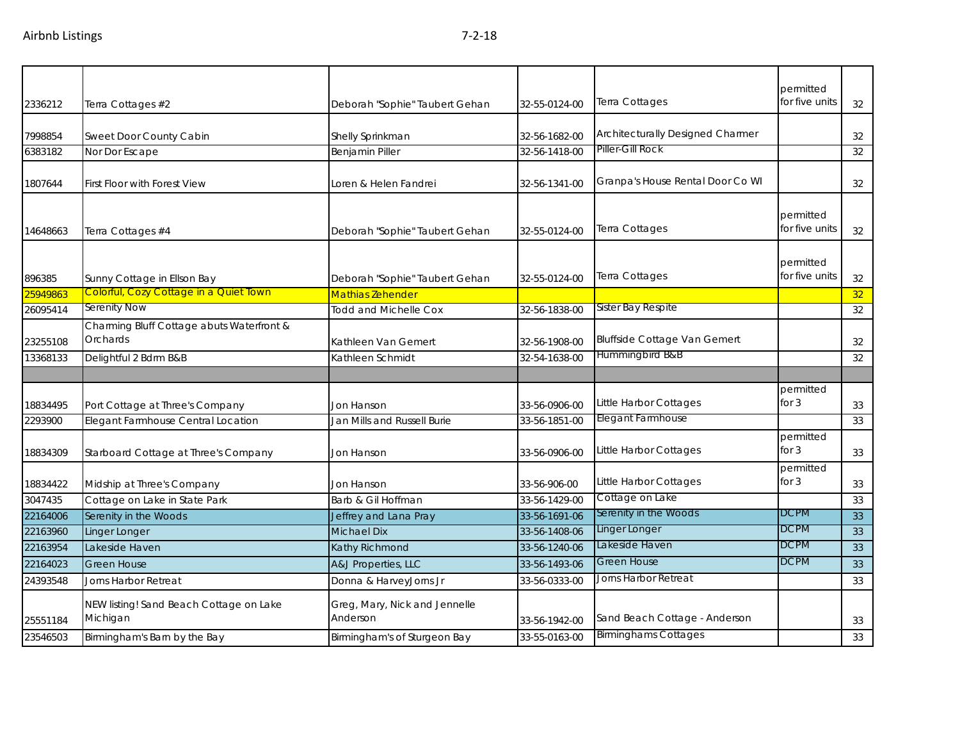|          |                                                     |                                           |               |                                     | permitted                   |    |
|----------|-----------------------------------------------------|-------------------------------------------|---------------|-------------------------------------|-----------------------------|----|
| 2336212  | Terra Cottages #2                                   | Deborah "Sophie" Taubert Gehan            | 32-55-0124-00 | Terra Cottages                      | for five units              | 32 |
|          |                                                     |                                           |               | Architecturally Designed Charmer    |                             |    |
| 7998854  | Sweet Door County Cabin                             | Shelly Sprinkman                          | 32-56-1682-00 | Piller-Gill Rock                    |                             | 32 |
| 6383182  | Nor Dor Escape                                      | Benjamin Piller                           | 32-56-1418-00 |                                     |                             | 32 |
| 1807644  | <b>First Floor with Forest View</b>                 | Loren & Helen Fandrei                     | 32-56-1341-00 | Granpa's House Rental Door Co WI    |                             | 32 |
| 14648663 | Terra Cottages #4                                   | Deborah "Sophie" Taubert Gehan            | 32-55-0124-00 | Terra Cottages                      | permitted<br>for five units | 32 |
| 896385   | Sunny Cottage in Ellson Bay                         | Deborah "Sophie" Taubert Gehan            | 32-55-0124-00 | Terra Cottages                      | permitted<br>for five units | 32 |
| 25949863 | Colorful, Cozy Cottage in a Quiet Town              | <b>Mathias Zehender</b>                   |               |                                     |                             | 32 |
| 26095414 | <b>Serenity Now</b>                                 | <b>Todd and Michelle Cox</b>              | 32-56-1838-00 | Sister Bay Respite                  |                             | 32 |
|          | Charming Bluff Cottage abuts Waterfront &           |                                           |               |                                     |                             |    |
| 23255108 | Orchards                                            | Kathleen Van Gemert                       | 32-56-1908-00 | <b>Bluffside Cottage Van Gemert</b> |                             | 32 |
| 13368133 | Delightful 2 Bdrm B&B                               | Kathleen Schmidt                          | 32-54-1638-00 | Hummingbird B&B                     |                             | 32 |
|          |                                                     |                                           |               |                                     |                             |    |
| 18834495 | Port Cottage at Three's Company                     | Jon Hanson                                | 33-56-0906-00 | Little Harbor Cottages              | permitted<br>for $3$        | 33 |
| 2293900  | Elegant Farmhouse Central Location                  | Jan Mills and Russell Burie               | 33-56-1851-00 | Elegant Farmhouse                   |                             | 33 |
| 18834309 | Starboard Cottage at Three's Company                | Jon Hanson                                | 33-56-0906-00 | Little Harbor Cottages              | permitted<br>for $3$        | 33 |
| 18834422 | Midship at Three's Company                          | Jon Hanson                                | 33-56-906-00  | Little Harbor Cottages              | permitted<br>for $3$        | 33 |
| 3047435  | Cottage on Lake in State Park                       | Barb & Gil Hoffman                        | 33-56-1429-00 | Cottage on Lake                     |                             | 33 |
| 22164006 | Serenity in the Woods                               | Jeffrey and Lana Pray                     | 33-56-1691-06 | Serenity in the Woods               | <b>DCPM</b>                 | 33 |
| 22163960 | Linger Longer                                       | <b>Michael Dix</b>                        | 33-56-1408-06 | Linger Longer                       | <b>DCPM</b>                 | 33 |
| 22163954 | Lakeside Haven                                      | Kathy Richmond                            | 33-56-1240-06 | Lakeside Haven                      | <b>DCPM</b>                 | 33 |
| 22164023 | <b>Green House</b>                                  | A&J Properties, LLC                       | 33-56-1493-06 | <b>Green House</b>                  | <b>DCPM</b>                 | 33 |
| 24393548 | Jorns Harbor Retreat                                | Donna & HarveyJorns Jr                    | 33-56-0333-00 | Jorns Harbor Retreat                |                             | 33 |
| 25551184 | NEW listing! Sand Beach Cottage on Lake<br>Michigan | Greg, Mary, Nick and Jennelle<br>Anderson | 33-56-1942-00 | Sand Beach Cottage - Anderson       |                             | 33 |
| 23546503 | Birmingham's Barn by the Bay                        | Birmingham's of Sturgeon Bay              | 33-55-0163-00 | <b>Birminghams Cottages</b>         |                             | 33 |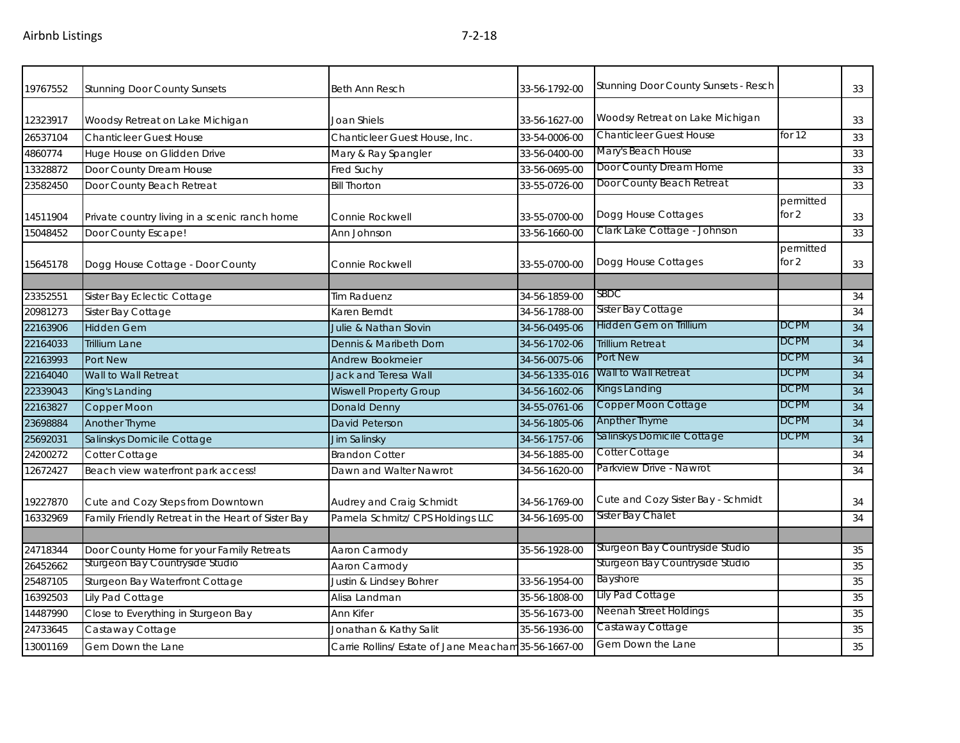| 19767552 | <b>Stunning Door County Sunsets</b>                | <b>Beth Ann Resch</b>                                | 33-56-1792-00  | Stunning Door County Sunsets - Resch |                      | 33 |
|----------|----------------------------------------------------|------------------------------------------------------|----------------|--------------------------------------|----------------------|----|
| 12323917 | Woodsy Retreat on Lake Michigan                    | Joan Shiels                                          | 33-56-1627-00  | Woodsy Retreat on Lake Michigan      |                      | 33 |
| 26537104 | <b>Chanticleer Guest House</b>                     | Chanticleer Guest House, Inc.                        | 33-54-0006-00  | <b>Chanticleer Guest House</b>       | for $12$             | 33 |
| 4860774  | Huge House on Glidden Drive                        | Mary & Ray Spangler                                  | 33-56-0400-00  | Mary's Beach House                   |                      | 33 |
| 13328872 | Door County Dream House                            | Fred Suchy                                           | 33-56-0695-00  | Door County Dream Home               |                      | 33 |
| 23582450 | Door County Beach Retreat                          | <b>Bill Thorton</b>                                  | 33-55-0726-00  | Door County Beach Retreat            |                      | 33 |
| 14511904 | Private country living in a scenic ranch home      | Connie Rockwell                                      | 33-55-0700-00  | Dogg House Cottages                  | permitted<br>for $2$ | 33 |
| 15048452 | Door County Escape!                                | Ann Johnson                                          | 33-56-1660-00  | Clark Lake Cottage - Johnson         |                      | 33 |
| 15645178 | Dogg House Cottage - Door County                   | Connie Rockwell                                      | 33-55-0700-00  | Dogg House Cottages                  | permitted<br>for $2$ | 33 |
| 23352551 | Sister Bay Eclectic Cottage                        | Tim Raduenz                                          | 34-56-1859-00  | SBDC                                 |                      | 34 |
| 20981273 | Sister Bay Cottage                                 | Karen Berndt                                         | 34-56-1788-00  | Sister Bay Cottage                   |                      | 34 |
| 22163906 | <b>Hidden Gem</b>                                  | Julie & Nathan Slovin                                | 34-56-0495-06  | Hidden Gem on Trillium               | <b>DCPM</b>          | 34 |
| 22164033 | <b>Trillium Lane</b>                               | Dennis & Maribeth Dorn                               | 34-56-1702-06  | Trillium Retreat                     | <b>DCPM</b>          | 34 |
| 22163993 | Port New                                           | <b>Andrew Bookmeier</b>                              | 34-56-0075-06  | Port New                             | <b>DCPM</b>          | 34 |
| 22164040 | Wall to Wall Retreat                               | <b>Jack and Teresa Wall</b>                          | 34-56-1335-016 | Wall to Wall Retreat                 | <b>DCPM</b>          | 34 |
| 22339043 | King's Landing                                     | <b>Wiswell Property Group</b>                        | 34-56-1602-06  | Kings Landing                        | <b>DCPM</b>          | 34 |
| 22163827 | Copper Moon                                        | <b>Donald Denny</b>                                  | 34-55-0761-06  | Copper Moon Cottage                  | DCPM                 | 34 |
| 23698884 | Another Thyme                                      | <b>David Peterson</b>                                | 34-56-1805-06  | Anpther Thyme                        | DCPM                 | 34 |
| 25692031 | Salinskys Domicile Cottage                         | Jim Salinsky                                         | 34-56-1757-06  | Salinskys Domicile Cottage           | <b>DCPM</b>          | 34 |
| 24200272 | Cotter Cottage                                     | <b>Brandon Cotter</b>                                | 34-56-1885-00  | Cotter Cottage                       |                      | 34 |
| 12672427 | Beach view waterfront park access!                 | Dawn and Walter Nawrot                               | 34-56-1620-00  | Parkview Drive - Nawrot              |                      | 34 |
| 19227870 | Cute and Cozy Steps from Downtown                  | Audrey and Craig Schmidt                             | 34-56-1769-00  | Cute and Cozy Sister Bay - Schmidt   |                      | 34 |
| 16332969 | Family Friendly Retreat in the Heart of Sister Bay | Pamela Schmitz/ CPS Holdings LLC                     | 34-56-1695-00  | Sister Bay Chalet                    |                      | 34 |
|          |                                                    |                                                      |                |                                      |                      |    |
| 24718344 | Door County Home for your Family Retreats          | Aaron Carmody                                        | 35-56-1928-00  | Sturgeon Bay Countryside Studio      |                      | 35 |
| 26452662 | Sturgeon Bay Countryside Studio                    | Aaron Carmody                                        |                | Sturgeon Bay Countryside Studio      |                      | 35 |
| 25487105 | Sturgeon Bay Waterfront Cottage                    | Justin & Lindsey Bohrer                              | 33-56-1954-00  | Bayshore                             |                      | 35 |
| 16392503 | Lily Pad Cottage                                   | Alisa Landman                                        | 35-56-1808-00  | Lily Pad Cottage                     |                      | 35 |
| 14487990 | Close to Everything in Sturgeon Bay                | Ann Kifer                                            | 35-56-1673-00  | Neenah Street Holdings               |                      | 35 |
| 24733645 | Castaway Cottage                                   | Jonathan & Kathy Salit                               | 35-56-1936-00  | Castaway Cottage                     |                      | 35 |
| 13001169 | Gem Down the Lane                                  | Carrie Rollins/ Estate of Jane Meacham 35-56-1667-00 |                | Gem Down the Lane                    |                      | 35 |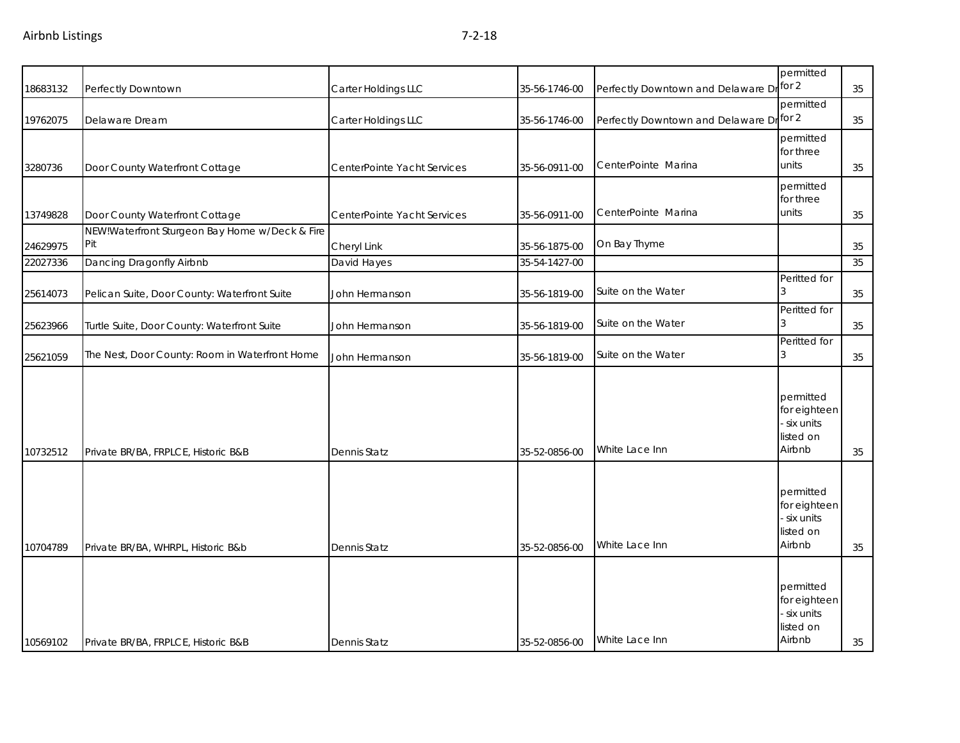| 18683132 | Perfectly Downtown                                    | Carter Holdings LLC         | 35-56-1746-00 | Perfectly Downtown and Delaware Dr for 2 | permitted                                                       | 35 |
|----------|-------------------------------------------------------|-----------------------------|---------------|------------------------------------------|-----------------------------------------------------------------|----|
| 19762075 | Delaware Dream                                        | Carter Holdings LLC         | 35-56-1746-00 | Perfectly Downtown and Delaware Dr for 2 | permitted                                                       | 35 |
| 3280736  | Door County Waterfront Cottage                        | CenterPointe Yacht Services | 35-56-0911-00 | CenterPointe Marina                      | permitted<br>for three<br>units                                 | 35 |
|          |                                                       |                             |               |                                          | permitted                                                       |    |
| 13749828 | Door County Waterfront Cottage                        | CenterPointe Yacht Services | 35-56-0911-00 | CenterPointe Marina                      | for three<br>units                                              | 35 |
| 24629975 | NEW!Waterfront Sturgeon Bay Home w/Deck & Fire<br>Pit | Cheryl Link                 | 35-56-1875-00 | On Bay Thyme                             |                                                                 | 35 |
| 22027336 | Dancing Dragonfly Airbnb                              | David Hayes                 | 35-54-1427-00 |                                          |                                                                 | 35 |
| 25614073 | Pelican Suite, Door County: Waterfront Suite          | John Hermanson              | 35-56-1819-00 | Suite on the Water                       | Peritted for                                                    | 35 |
| 25623966 | Turtle Suite, Door County: Waterfront Suite           | John Hermanson              | 35-56-1819-00 | Suite on the Water                       | Peritted for                                                    | 35 |
| 25621059 | The Nest, Door County: Room in Waterfront Home        | John Hermanson              | 35-56-1819-00 | Suite on the Water                       | Peritted for<br>3                                               | 35 |
| 10732512 | Private BR/BA, FRPLCE, Historic B&B                   | Dennis Statz                | 35-52-0856-00 | White Lace Inn                           | permitted<br>for eighteen<br>six units<br>listed on<br>Airbnb   | 35 |
| 10704789 | Private BR/BA, WHRPL, Historic B&b                    | Dennis Statz                | 35-52-0856-00 | White Lace Inn                           | permitted<br>for eighteen<br>six units<br>listed on<br>Airbnb   | 35 |
| 10569102 | Private BR/BA, FRPLCE, Historic B&B                   | Dennis Statz                | 35-52-0856-00 | White Lace Inn                           | permitted<br>for eighteen<br>- six units<br>listed on<br>Airbnb | 35 |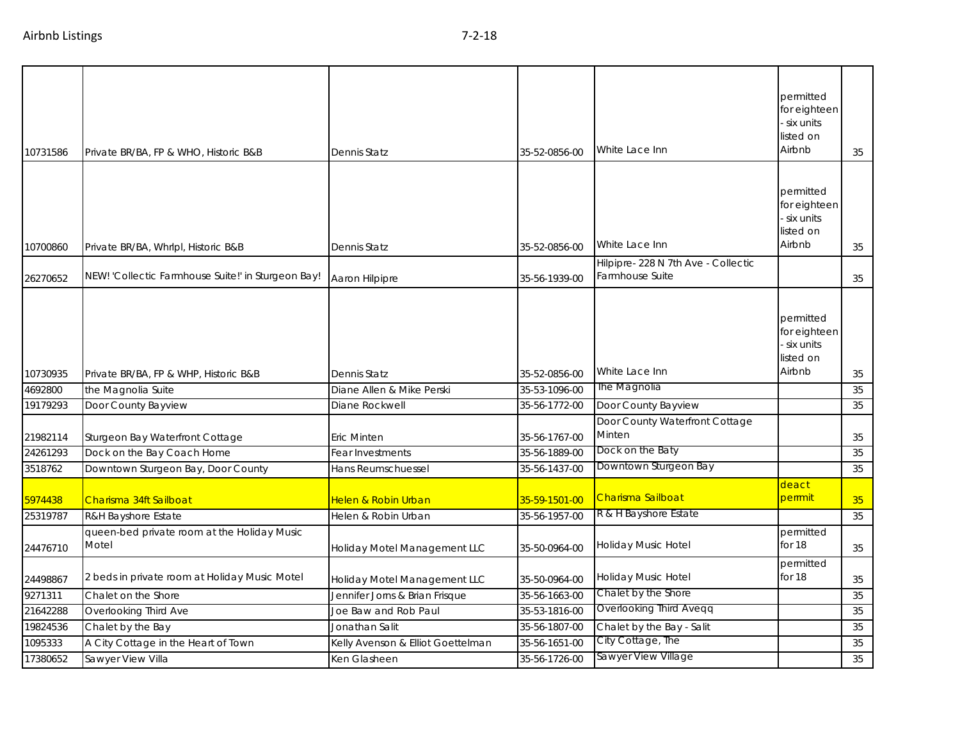| 10731586 | Private BR/BA, FP & WHO, Historic B&B                | Dennis Statz                      | 35-52-0856-00 | White Lace Inn                                        | permitted<br>for eighteen<br>- six units<br>listed on<br>Airbnb | 35 |
|----------|------------------------------------------------------|-----------------------------------|---------------|-------------------------------------------------------|-----------------------------------------------------------------|----|
| 10700860 | Private BR/BA, WhrIpI, Historic B&B                  | Dennis Statz                      | 35-52-0856-00 | White Lace Inn                                        | permitted<br>for eighteen<br>six units<br>listed on<br>Airbnb   | 35 |
| 26270652 | NEW! 'Collectic Farmhouse Suite!' in Sturgeon Bay!   | Aaron Hilpipre                    | 35-56-1939-00 | Hilpipre-228 N 7th Ave - Collectic<br>Farmhouse Suite |                                                                 | 35 |
|          |                                                      |                                   |               | White Lace Inn                                        | permitted<br>for eighteen<br>- six units<br>listed on<br>Airbnb |    |
| 10730935 | Private BR/BA, FP & WHP, Historic B&B                | <b>Dennis Statz</b>               | 35-52-0856-00 |                                                       |                                                                 | 35 |
| 4692800  | the Magnolia Suite                                   | Diane Allen & Mike Perski         | 35-53-1096-00 | The Magnolia                                          |                                                                 | 35 |
| 19179293 | Door County Bayview                                  | Diane Rockwell                    | 35-56-1772-00 | Door County Bayview                                   |                                                                 | 35 |
| 21982114 | Sturgeon Bay Waterfront Cottage                      | Eric Minten                       | 35-56-1767-00 | Door County Waterfront Cottage<br>Minten              |                                                                 | 35 |
| 24261293 | Dock on the Bay Coach Home                           | Fear Investments                  | 35-56-1889-00 | Dock on the Baty                                      |                                                                 | 35 |
| 3518762  | Downtown Sturgeon Bay, Door County                   | Hans Reumschuessel                | 35-56-1437-00 | Downtown Sturgeon Bay                                 |                                                                 | 35 |
| 5974438  | Charisma 34ft Sailboat                               | Helen & Robin Urban               | 35-59-1501-00 | Charisma Sailboat                                     | deact<br>perrmit                                                | 35 |
| 25319787 | R&H Bayshore Estate                                  | Helen & Robin Urban               | 35-56-1957-00 | R & H Bayshore Estate                                 |                                                                 | 35 |
| 24476710 | queen-bed private room at the Holiday Music<br>Motel | Holiday Motel Management LLC      | 35-50-0964-00 | Holiday Music Hotel                                   | permitted<br>for 18                                             | 35 |
| 24498867 | 2 beds in private room at Holiday Music Motel        | Holiday Motel Management LLC      | 35-50-0964-00 | Holiday Music Hotel                                   | permitted<br>for 18                                             | 35 |
| 9271311  | Chalet on the Shore                                  | Jennifer Jorns & Brian Frisque    | 35-56-1663-00 | Chalet by the Shore                                   |                                                                 | 35 |
| 21642288 | Overlooking Third Ave                                | Joe Baw and Rob Paul              | 35-53-1816-00 | Overlooking Third Aveqq                               |                                                                 | 35 |
| 19824536 | Chalet by the Bay                                    | Jonathan Salit                    | 35-56-1807-00 | Chalet by the Bay - Salit                             |                                                                 | 35 |
| 1095333  | A City Cottage in the Heart of Town                  | Kelly Avenson & Elliot Goettelman | 35-56-1651-00 | City Cottage, The                                     |                                                                 | 35 |
| 17380652 | Sawyer View Villa                                    | Ken Glasheen                      | 35-56-1726-00 | Sawyer View Village                                   |                                                                 | 35 |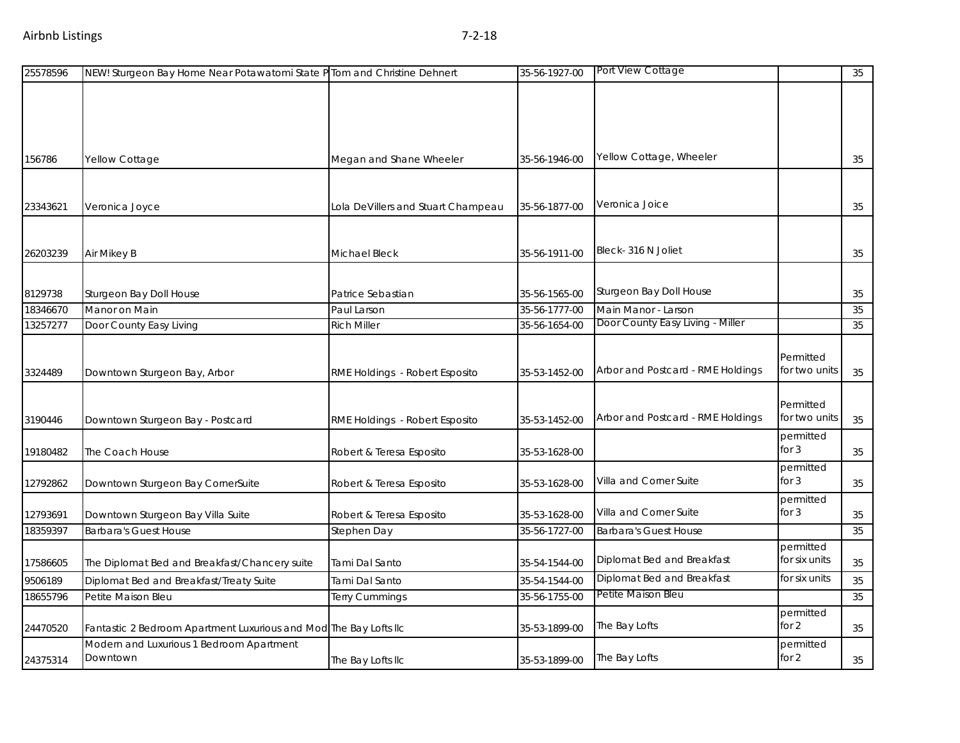| 25578596 | NEW! Sturgeon Bay Home Near Potawatomi State P Tom and Christine Dehnert |                                    | 35-56-1927-00 | Port View Cottage                 |                            | 35 |
|----------|--------------------------------------------------------------------------|------------------------------------|---------------|-----------------------------------|----------------------------|----|
|          |                                                                          |                                    |               |                                   |                            |    |
|          |                                                                          |                                    |               |                                   |                            |    |
|          |                                                                          |                                    |               |                                   |                            |    |
| 156786   | Yellow Cottage                                                           | Megan and Shane Wheeler            | 35-56-1946-00 | Yellow Cottage, Wheeler           |                            | 35 |
|          |                                                                          |                                    |               |                                   |                            |    |
| 23343621 | Veronica Joyce                                                           | Lola DeVillers and Stuart Champeau | 35-56-1877-00 | Veronica Joice                    |                            | 35 |
|          |                                                                          |                                    |               |                                   |                            |    |
| 26203239 | Air Mikey B                                                              | Michael Bleck                      | 35-56-1911-00 | Bleck-316 N Joliet                |                            | 35 |
|          |                                                                          |                                    |               |                                   |                            |    |
| 8129738  | Sturgeon Bay Doll House                                                  | Patrice Sebastian                  | 35-56-1565-00 | Sturgeon Bay Doll House           |                            | 35 |
| 18346670 | Manor on Main                                                            | Paul Larson                        | 35-56-1777-00 | Main Manor - Larson               |                            | 35 |
| 13257277 | Door County Easy Living                                                  | <b>Rich Miller</b>                 | 35-56-1654-00 | Door County Easy Living - Miller  |                            | 35 |
|          |                                                                          |                                    |               |                                   |                            |    |
|          |                                                                          |                                    |               | Arbor and Postcard - RME Holdings | Permitted<br>for two units |    |
| 3324489  | Downtown Sturgeon Bay, Arbor                                             | RME Holdings - Robert Esposito     | 35-53-1452-00 |                                   |                            | 35 |
|          |                                                                          |                                    |               |                                   | Permitted                  |    |
| 3190446  | Downtown Sturgeon Bay - Postcard                                         | RME Holdings - Robert Esposito     | 35-53-1452-00 | Arbor and Postcard - RME Holdings | for two units              | 35 |
|          |                                                                          |                                    |               |                                   | permitted                  |    |
| 19180482 | The Coach House                                                          | Robert & Teresa Esposito           | 35-53-1628-00 |                                   | for $3$                    | 35 |
| 12792862 | Downtown Sturgeon Bay CornerSuite                                        | Robert & Teresa Esposito           | 35-53-1628-00 | Villa and Corner Suite            | permitted<br>for $3$       | 35 |
|          |                                                                          |                                    |               |                                   | permitted                  |    |
| 12793691 | Downtown Sturgeon Bay Villa Suite                                        | Robert & Teresa Esposito           | 35-53-1628-00 | Villa and Corner Suite            | for $3$                    | 35 |
| 18359397 | <b>Barbara's Guest House</b>                                             | Stephen Day                        | 35-56-1727-00 | <b>Barbara's Guest House</b>      |                            | 35 |
| 17586605 | The Diplomat Bed and Breakfast/Chancery suite                            | Tami Dal Santo                     | 35-54-1544-00 | Diplomat Bed and Breakfast        | permitted<br>for six units | 35 |
| 9506189  | Diplomat Bed and Breakfast/Treaty Suite                                  | Tami Dal Santo                     | 35-54-1544-00 | Diplomat Bed and Breakfast        | for six units              | 35 |
| 18655796 | Petite Maison Bleu                                                       | Terry Cummings                     | 35-56-1755-00 | Petite Maison Bleu                |                            | 35 |
|          |                                                                          |                                    |               |                                   | permitted                  |    |
| 24470520 | Fantastic 2 Bedroom Apartment Luxurious and Mod The Bay Lofts IIc        |                                    | 35-53-1899-00 | The Bay Lofts                     | for $2$                    | 35 |
| 24375314 | Modern and Luxurious 1 Bedroom Apartment<br>Downtown                     | The Bay Lofts IIc                  | 35-53-1899-00 | The Bay Lofts                     | permitted<br>for $2$       | 35 |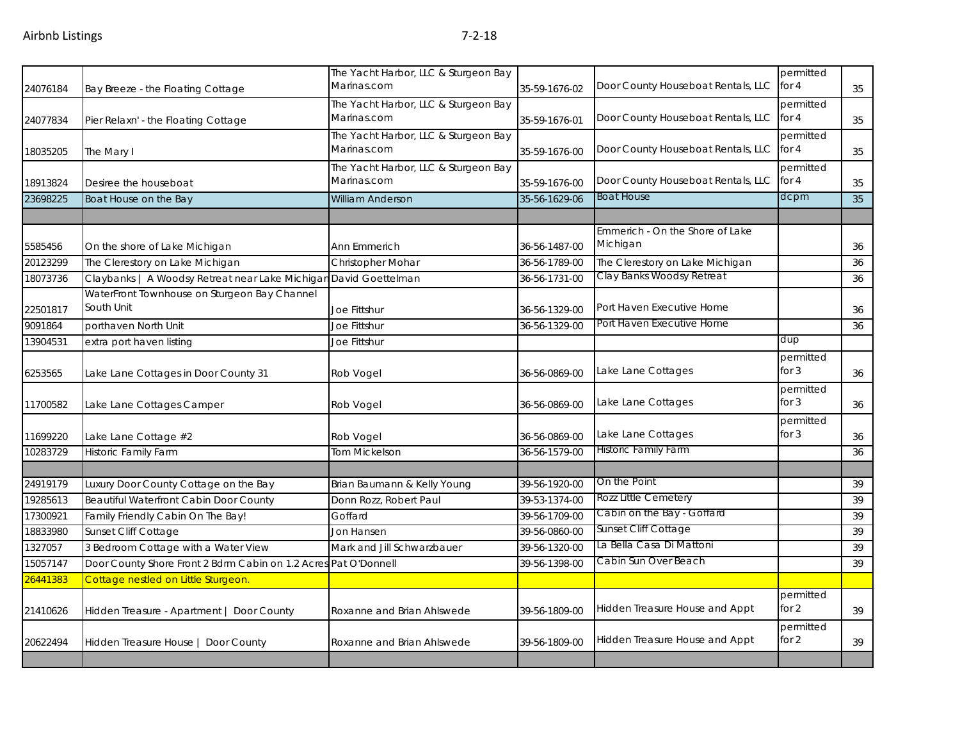|          |                                                                  | The Yacht Harbor, LLC & Sturgeon Bay                |               |                                             | permitted            |    |
|----------|------------------------------------------------------------------|-----------------------------------------------------|---------------|---------------------------------------------|----------------------|----|
| 24076184 | Bay Breeze - the Floating Cottage                                | Marinas.com                                         | 35-59-1676-02 | Door County Houseboat Rentals, LLC          | for 4                | 35 |
| 24077834 | Pier Relaxn' - the Floating Cottage                              | The Yacht Harbor, LLC & Sturgeon Bay<br>Marinas.com | 35-59-1676-01 | Door County Houseboat Rentals, LLC          | permitted<br>for 4   | 35 |
| 18035205 | The Mary I                                                       | The Yacht Harbor, LLC & Sturgeon Bay<br>Marinas.com | 35-59-1676-00 | Door County Houseboat Rentals, LLC          | permitted<br>for 4   | 35 |
| 18913824 | Desiree the houseboat                                            | The Yacht Harbor, LLC & Sturgeon Bay<br>Marinas.com | 35-59-1676-00 | Door County Houseboat Rentals, LLC          | permitted<br>for 4   | 35 |
| 23698225 | Boat House on the Bay                                            | <b>William Anderson</b>                             | 35-56-1629-06 | <b>Boat House</b>                           | dcpm                 | 35 |
|          |                                                                  |                                                     |               |                                             |                      |    |
| 5585456  | On the shore of Lake Michigan                                    | Ann Emmerich                                        | 36-56-1487-00 | Emmerich - On the Shore of Lake<br>Michigan |                      | 36 |
| 20123299 | The Clerestory on Lake Michigan                                  | Christopher Mohar                                   | 36-56-1789-00 | The Clerestory on Lake Michigan             |                      | 36 |
| 18073736 | Claybanks   A Woodsy Retreat near Lake Michigan David Goettelman |                                                     | 36-56-1731-00 | Clay Banks Woodsy Retreat                   |                      | 36 |
| 22501817 | WaterFront Townhouse on Sturgeon Bay Channel<br>South Unit       | Joe Fittshur                                        | 36-56-1329-00 | Port Haven Executive Home                   |                      | 36 |
| 9091864  | porthaven North Unit                                             | Joe Fittshur                                        | 36-56-1329-00 | Port Haven Executive Home                   |                      | 36 |
| 13904531 | extra port haven listing                                         | <b>Joe Fittshur</b>                                 |               |                                             | dup                  |    |
| 6253565  | Lake Lane Cottages in Door County 31                             | Rob Vogel                                           | 36-56-0869-00 | Lake Lane Cottages                          | permitted<br>for $3$ | 36 |
| 11700582 | Lake Lane Cottages Camper                                        | Rob Vogel                                           | 36-56-0869-00 | Lake Lane Cottages                          | permitted<br>for $3$ | 36 |
| 11699220 | Lake Lane Cottage #2                                             | Rob Vogel                                           | 36-56-0869-00 | Lake Lane Cottages                          | permitted<br>for $3$ | 36 |
| 10283729 | <b>Historic Family Farm</b>                                      | <b>Tom Mickelson</b>                                | 36-56-1579-00 | Historic Family Farm                        |                      | 36 |
|          |                                                                  |                                                     |               |                                             |                      |    |
| 24919179 | Luxury Door County Cottage on the Bay                            | Brian Baumann & Kelly Young                         | 39-56-1920-00 | On the Point                                |                      | 39 |
| 19285613 | Beautiful Waterfront Cabin Door County                           | Donn Rozz, Robert Paul                              | 39-53-1374-00 | Rozz Little Cemetery                        |                      | 39 |
| 17300921 | Family Friendly Cabin On The Bay!                                | Goffard                                             | 39-56-1709-00 | Cabin on the Bay - Goffard                  |                      | 39 |
| 18833980 | Sunset Cliff Cottage                                             | Jon Hansen                                          | 39-56-0860-00 | Sunset Cliff Cottage                        |                      | 39 |
| 1327057  | 3 Bedroom Cottage with a Water View                              | Mark and Jill Schwarzbauer                          | 39-56-1320-00 | La Bella Casa Di Mattoni                    |                      | 39 |
| 15057147 | Door County Shore Front 2 Bdrm Cabin on 1.2 Acres Pat O'Donnell  |                                                     | 39-56-1398-00 | Cabin Sun Over Beach                        |                      | 39 |
| 26441383 | Cottage nestled on Little Sturgeon.                              |                                                     |               |                                             |                      |    |
| 21410626 | Hidden Treasure - Apartment   Door County                        | Roxanne and Brian Ahlswede                          | 39-56-1809-00 | Hidden Treasure House and Appt              | permitted<br>for $2$ | 39 |
| 20622494 | Hidden Treasure House   Door County                              | Roxanne and Brian Ahlswede                          | 39-56-1809-00 | Hidden Treasure House and Appt              | permitted<br>for $2$ | 39 |
|          |                                                                  |                                                     |               |                                             |                      |    |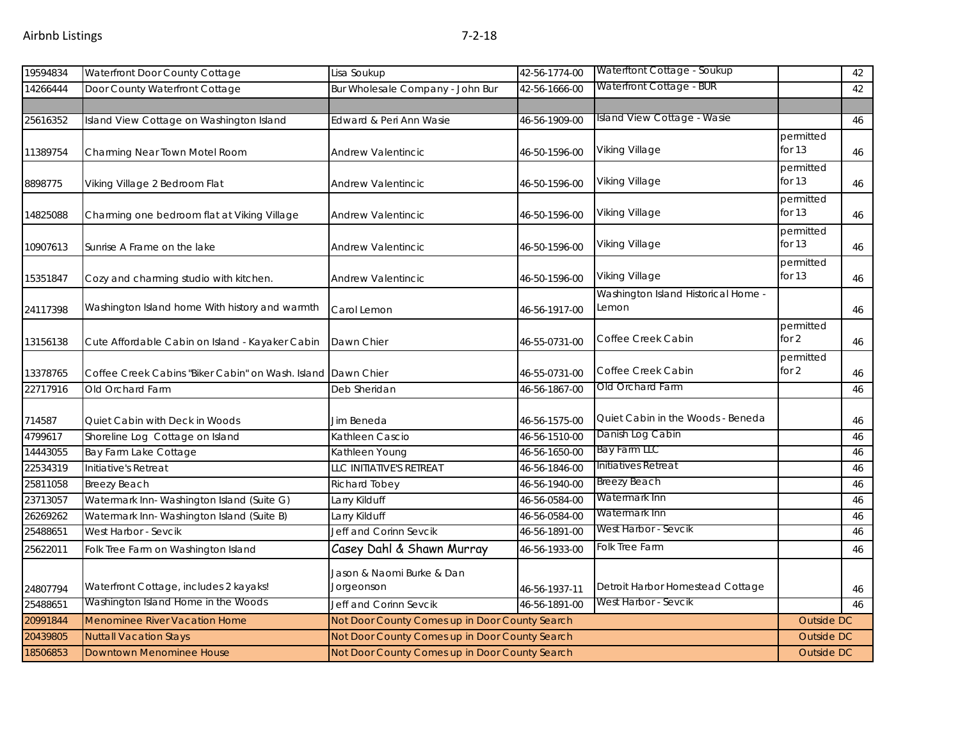| 19594834 | Waterfront Door County Cottage                               | Lisa Soukup                                    | 42-56-1774-00 | Waterftont Cottage - Soukup                  |                       | 42 |
|----------|--------------------------------------------------------------|------------------------------------------------|---------------|----------------------------------------------|-----------------------|----|
| 14266444 | Door County Waterfront Cottage                               | Bur Wholesale Company - John Bur               | 42-56-1666-00 | Waterfront Cottage - BUR                     |                       | 42 |
|          |                                                              |                                                |               |                                              |                       |    |
| 25616352 | Island View Cottage on Washington Island                     | Edward & Peri Ann Wasie                        | 46-56-1909-00 | Island View Cottage - Wasie                  |                       | 46 |
| 11389754 | Charming Near Town Motel Room                                | Andrew Valentincic                             | 46-50-1596-00 | Viking Village                               | permitted<br>for $13$ | 46 |
| 8898775  | Viking Village 2 Bedroom Flat                                | Andrew Valentincic                             | 46-50-1596-00 | Viking Village                               | permitted<br>for $13$ | 46 |
| 14825088 | Charming one bedroom flat at Viking Village                  | <b>Andrew Valentincic</b>                      | 46-50-1596-00 | Viking Village                               | permitted<br>for $13$ | 46 |
| 10907613 | Sunrise A Frame on the lake                                  | <b>Andrew Valentincic</b>                      | 46-50-1596-00 | Viking Village                               | permitted<br>for $13$ | 46 |
| 15351847 | Cozy and charming studio with kitchen.                       | Andrew Valentincic                             | 46-50-1596-00 | <b>Viking Village</b>                        | permitted<br>for $13$ | 46 |
| 24117398 | Washington Island home With history and warmth               | Carol Lemon                                    | 46-56-1917-00 | Washington Island Historical Home -<br>Lemon |                       | 46 |
| 13156138 | Cute Affordable Cabin on Island - Kayaker Cabin              | Dawn Chier                                     | 46-55-0731-00 | Coffee Creek Cabin                           | permitted<br>for $2$  | 46 |
| 13378765 | Coffee Creek Cabins "Biker Cabin" on Wash. Island Dawn Chier |                                                | 46-55-0731-00 | Coffee Creek Cabin                           | permitted<br>for $2$  | 46 |
| 22717916 | Old Orchard Farm                                             | Deb Sheridan                                   | 46-56-1867-00 | Old Orchard Farm                             |                       | 46 |
| 714587   | Quiet Cabin with Deck in Woods                               | Jim Beneda                                     | 46-56-1575-00 | Quiet Cabin in the Woods - Beneda            |                       | 46 |
| 4799617  | Shoreline Log Cottage on Island                              | Kathleen Cascio                                | 46-56-1510-00 | Danish Log Cabin                             |                       | 46 |
| 14443055 | Bay Farm Lake Cottage                                        | Kathleen Young                                 | 46-56-1650-00 | Bay Farm LLC                                 |                       | 46 |
| 22534319 | Initiative's Retreat                                         | LLC INITIATIVE'S RETREAT                       | 46-56-1846-00 | Initiatives Retreat                          |                       | 46 |
| 25811058 | <b>Breezy Beach</b>                                          | Richard Tobey                                  | 46-56-1940-00 | Breezy Beach                                 |                       | 46 |
| 23713057 | Watermark Inn-Washington Island (Suite G)                    | Larry Kilduff                                  | 46-56-0584-00 | Watermark Inn                                |                       | 46 |
| 26269262 | Watermark Inn-Washington Island (Suite B)                    | Larry Kilduff                                  | 46-56-0584-00 | Watermark Inn                                |                       | 46 |
| 25488651 | West Harbor - Sevcik                                         | Jeff and Corinn Sevcik                         | 46-56-1891-00 | West Harbor - Sevcik                         |                       | 46 |
| 25622011 | Folk Tree Farm on Washington Island                          | Casey Dahl & Shawn Murray                      | 46-56-1933-00 | <b>Folk Tree Farm</b>                        |                       | 46 |
| 24807794 | Waterfront Cottage, includes 2 kayaks!                       | Jason & Naomi Burke & Dan<br>Jorgeonson        | 46-56-1937-11 | Detroit Harbor Homestead Cottage             |                       | 46 |
| 25488651 | Washington Island Home in the Woods                          | Jeff and Corinn Sevcik                         | 46-56-1891-00 | West Harbor - Sevcik                         |                       | 46 |
| 20991844 | <b>Menominee River Vacation Home</b>                         | Not Door County Comes up in Door County Search |               |                                              | Outside DC            |    |
| 20439805 | <b>Nuttall Vacation Stays</b>                                | Not Door County Comes up in Door County Search |               |                                              | <b>Outside DC</b>     |    |
| 18506853 | Downtown Menominee House                                     | Not Door County Comes up in Door County Search |               |                                              | <b>Outside DC</b>     |    |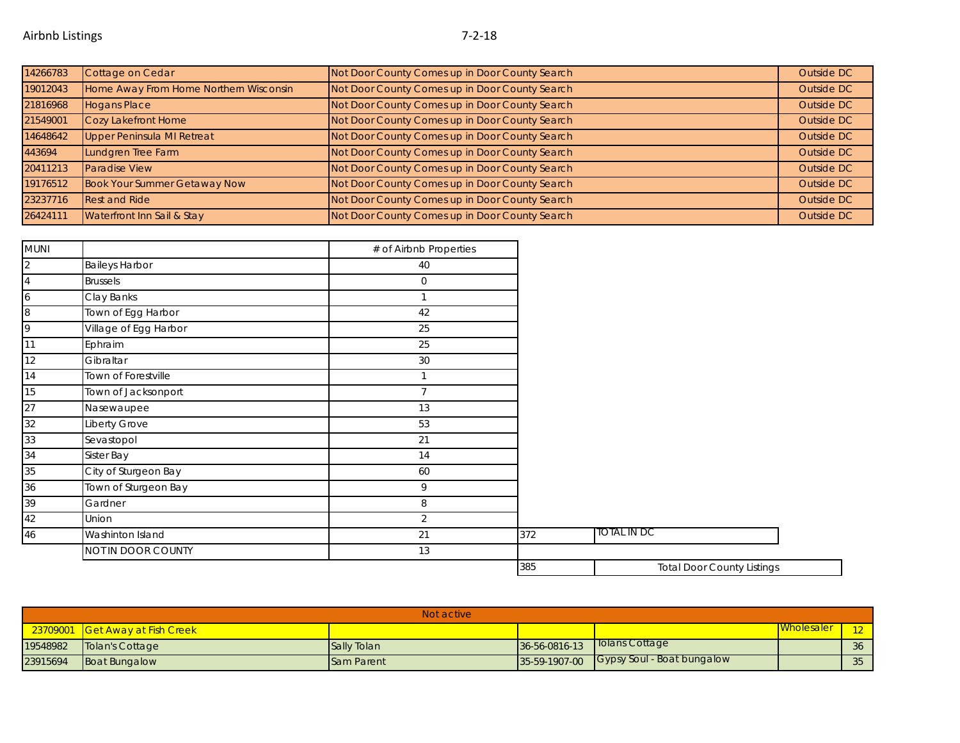| 14266783 | Cottage on Cedar                       | Not Door County Comes up in Door County Search | Outside DC |
|----------|----------------------------------------|------------------------------------------------|------------|
| 19012043 | Home Away From Home Northern Wisconsin | Not Door County Comes up in Door County Search | Outside DC |
| 21816968 | <b>Hogans Place</b>                    | Not Door County Comes up in Door County Search | Outside DC |
| 21549001 | Cozy Lakefront Home                    | Not Door County Comes up in Door County Search | Outside DC |
| 14648642 | <b>Upper Peninsula MI Retreat</b>      | Not Door County Comes up in Door County Search | Outside DC |
| 443694   | Lundgren Tree Farm                     | Not Door County Comes up in Door County Search | Outside DC |
| 20411213 | Paradise View                          | Not Door County Comes up in Door County Search | Outside DC |
| 19176512 | <b>Book Your Summer Getaway Now</b>    | Not Door County Comes up in Door County Search | Outside DC |
| 23237716 | <b>Rest and Ride</b>                   | Not Door County Comes up in Door County Search | Outside DC |
| 26424111 | Waterfront Inn Sail & Stay             | Not Door County Comes up in Door County Search | Outside DC |

| MUNI           |                       | # of Airbnb Properties |     |                                   |  |
|----------------|-----------------------|------------------------|-----|-----------------------------------|--|
| $\overline{2}$ | <b>Baileys Harbor</b> | 40                     |     |                                   |  |
| 4              | <b>Brussels</b>       | 0                      |     |                                   |  |
| 6              | Clay Banks            |                        |     |                                   |  |
| 8              | Town of Egg Harbor    | 42                     |     |                                   |  |
| 9              | Village of Egg Harbor | 25                     |     |                                   |  |
| 11             | Ephraim               | 25                     |     |                                   |  |
| 12             | Gibraltar             | 30                     |     |                                   |  |
| 14             | Town of Forestville   | $\mathbf{1}$           |     |                                   |  |
| 15             | Town of Jacksonport   | $\overline{7}$         |     |                                   |  |
| 27             | Nasewaupee            | 13                     |     |                                   |  |
| 32             | Liberty Grove         | 53                     |     |                                   |  |
| 33             | Sevastopol            | 21                     |     |                                   |  |
| 34             | Sister Bay            | 14                     |     |                                   |  |
| 35             | City of Sturgeon Bay  | 60                     |     |                                   |  |
| 36             | Town of Sturgeon Bay  | 9                      |     |                                   |  |
| 39             | Gardner               | 8                      |     |                                   |  |
| 42             | Union                 | $\overline{2}$         |     |                                   |  |
| $46\,$         | Washinton Island      | 21                     | 372 | TOTAL IN DC                       |  |
|                | NOT IN DOOR COUNTY    | 13                     |     |                                   |  |
|                |                       |                        | 385 | <b>Total Door County Listings</b> |  |

|          | Not active                      |                    |               |                                          |                   |                 |  |  |
|----------|---------------------------------|--------------------|---------------|------------------------------------------|-------------------|-----------------|--|--|
|          | 23709001 Get Away at Fish Creek |                    |               |                                          | <b>Mholesaler</b> | 12 <sub>1</sub> |  |  |
| 19548982 | Tolan's Cottage                 | <b>Sally Tolan</b> | 36-56-0816-13 | Tolans Cottage                           |                   | 36              |  |  |
| 23915694 | <b>Boat Bungalow</b>            | <b>Sam Parent</b>  |               | 35-59-1907-00 Gypsy Soul - Boat bungalow |                   | 35              |  |  |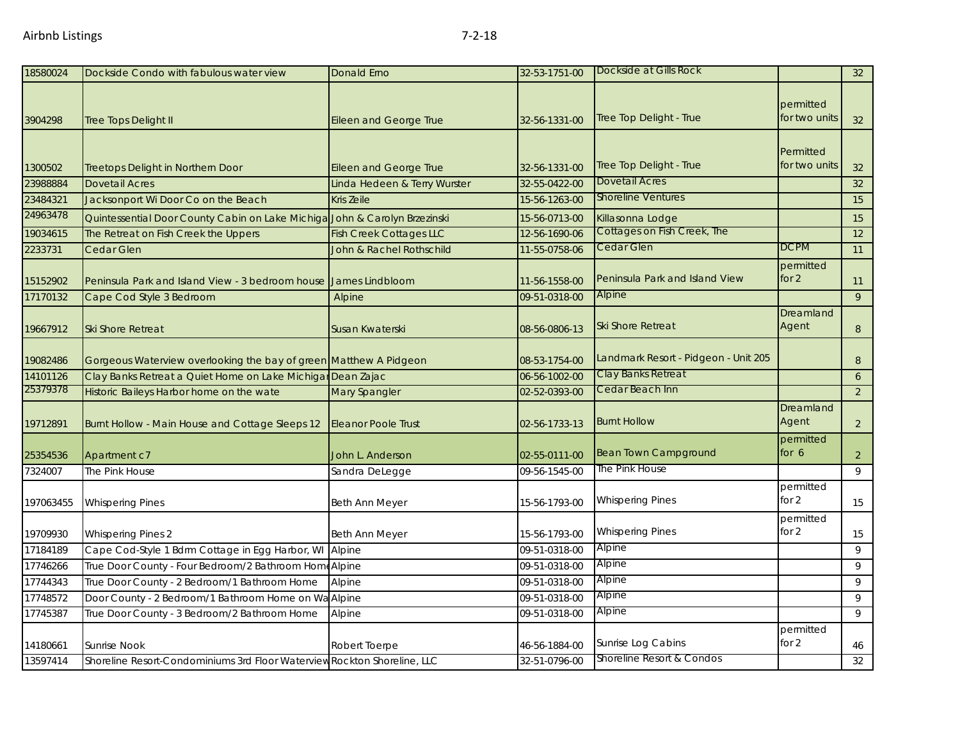| 18580024  | Dockside Condo with fabulous water view                                    | <b>Donald Erno</b>             | 32-53-1751-00 | Dockside at Gills Rock               |                            | 32              |
|-----------|----------------------------------------------------------------------------|--------------------------------|---------------|--------------------------------------|----------------------------|-----------------|
| 3904298   | Tree Tops Delight II                                                       | <b>Eileen and George True</b>  | 32-56-1331-00 | Tree Top Delight - True              | permitted<br>for two units | 32 <sup>2</sup> |
| 1300502   | <b>Treetops Delight in Northern Door</b>                                   | <b>Eileen and George True</b>  | 32-56-1331-00 | Tree Top Delight - True              | Permitted<br>for two units | 32              |
| 23988884  | <b>Dovetail Acres</b>                                                      | Linda Hedeen & Terry Wurster   | 32-55-0422-00 | <b>Dovetail Acres</b>                |                            | 32              |
| 23484321  | Jacksonport Wi Door Co on the Beach                                        | Kris Zeile                     | 15-56-1263-00 | <b>Shoreline Ventures</b>            |                            | 15              |
| 24963478  | Quintessential Door County Cabin on Lake Michiga John & Carolyn Brzezinski |                                | 15-56-0713-00 | Killasonna Lodge                     |                            | 15              |
| 19034615  | The Retreat on Fish Creek the Uppers                                       | <b>Fish Creek Cottages LLC</b> | 12-56-1690-06 | <b>Cottages on Fish Creek, The</b>   |                            | 12              |
| 2233731   | Cedar Glen                                                                 | John & Rachel Rothschild       | 11-55-0758-06 | <b>Cedar Glen</b>                    | <b>DCPM</b>                | 11              |
| 15152902  | Peninsula Park and Island View - 3 bedroom house                           | James Lindbloom                | 11-56-1558-00 | Peninsula Park and Island View       | permitted<br>for $2$       | 11              |
| 17170132  | Cape Cod Style 3 Bedroom                                                   | Alpine                         | 09-51-0318-00 | Alpine                               |                            | 9               |
| 19667912  | <b>Ski Shore Retreat</b>                                                   | Susan Kwaterski                | 08-56-0806-13 | <b>Ski Shore Retreat</b>             | Dreamland<br>Agent         | 8               |
| 19082486  | Gorgeous Waterview overlooking the bay of green Matthew A Pidgeon          |                                | 08-53-1754-00 | Landmark Resort - Pidgeon - Unit 205 |                            | 8               |
| 14101126  | Clay Banks Retreat a Quiet Home on Lake Michigar Dean Zajac                |                                | 06-56-1002-00 | Clay Banks Retreat                   |                            | 6               |
| 25379378  | Historic Baileys Harbor home on the wate                                   | Mary Spangler                  | 02-52-0393-00 | Cedar Beach Inn                      |                            | 2               |
| 19712891  | Burnt Hollow - Main House and Cottage Sleeps 12                            | <b>Eleanor Poole Trust</b>     | 02-56-1733-13 | <b>Burnt Hollow</b>                  | Dreamland<br>Agent         | $\overline{2}$  |
| 25354536  | Apartment c7                                                               | John L. Anderson               | 02-55-0111-00 | <b>Bean Town Campground</b>          | permitted<br>for $6$       | $\overline{a}$  |
| 7324007   | The Pink House                                                             | Sandra DeLegge                 | 09-56-1545-00 | The Pink House                       |                            | 9               |
| 197063455 | <b>Whispering Pines</b>                                                    | Beth Ann Meyer                 | 15-56-1793-00 | <b>Whispering Pines</b>              | permitted<br>for 2         | 15              |
| 19709930  | <b>Whispering Pines 2</b>                                                  | Beth Ann Meyer                 | 15-56-1793-00 | <b>Whispering Pines</b>              | permitted<br>for 2         | 15              |
| 17184189  | Cape Cod-Style 1 Bdrm Cottage in Egg Harbor, WI                            | Alpine                         | 09-51-0318-00 | Alpine                               |                            | 9               |
| 17746266  | True Door County - Four Bedroom/2 Bathroom Home Alpine                     |                                | 09-51-0318-00 | Alpine                               |                            | 9               |
| 17744343  | True Door County - 2 Bedroom/1 Bathroom Home                               | Alpine                         | 09-51-0318-00 | Alpine                               |                            | 9               |
| 17748572  | Door County - 2 Bedroom/1 Bathroom Home on W                               | Alpine                         | 09-51-0318-00 | Alpine                               |                            | 9               |
| 17745387  | True Door County - 3 Bedroom/2 Bathroom Home                               | Alpine                         | 09-51-0318-00 | Alpine                               |                            | 9               |
| 14180661  | <b>Sunrise Nook</b>                                                        | Robert Toerpe                  | 46-56-1884-00 | Sunrise Log Cabins                   | permitted<br>for 2         | 46              |
| 13597414  | Shoreline Resort-Condominiums 3rd Floor Waterview Rockton Shoreline, LLC   |                                | 32-51-0796-00 | Shoreline Resort & Condos            |                            | 32              |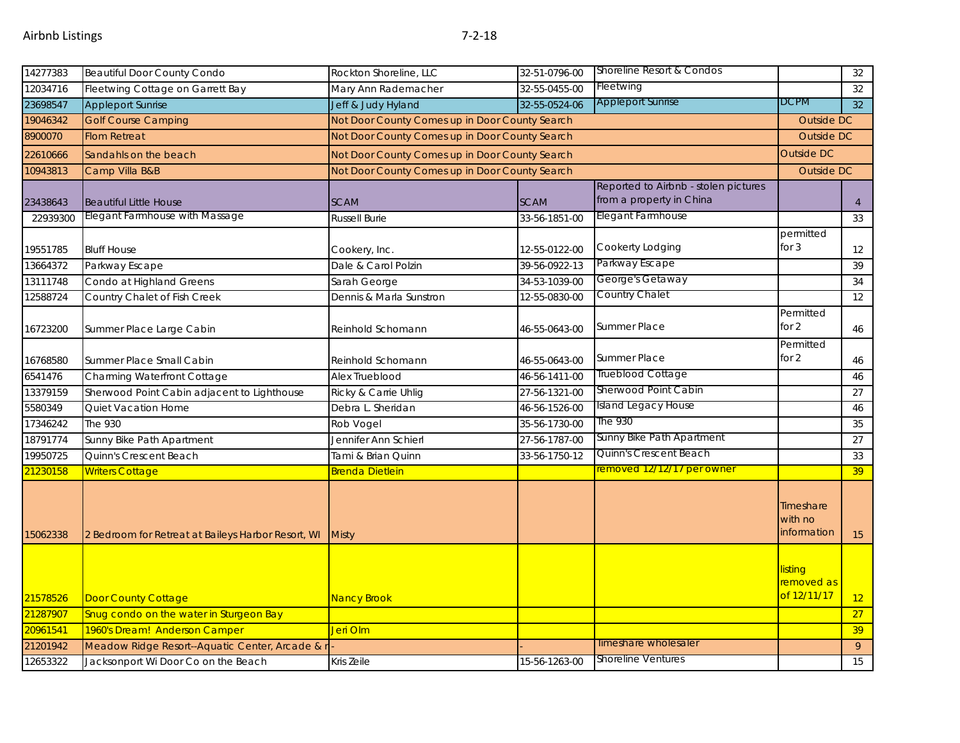| 14277383 | <b>Beautiful Door County Condo</b>                 | Rockton Shoreline, LLC                         | 32-51-0796-00                                  | Shoreline Resort & Condos                                        |                                      | 32                |  |
|----------|----------------------------------------------------|------------------------------------------------|------------------------------------------------|------------------------------------------------------------------|--------------------------------------|-------------------|--|
| 12034716 | Fleetwing Cottage on Garrett Bay                   | Mary Ann Rademacher                            | 32-55-0455-00                                  | Fleetwing                                                        |                                      | 32                |  |
| 23698547 | <b>Appleport Sunrise</b>                           | Jeff & Judy Hyland                             | 32-55-0524-06                                  | <b>Appleport Sunrise</b>                                         | <b>DCPM</b>                          | 32                |  |
| 19046342 | <b>Golf Course Camping</b>                         | Not Door County Comes up in Door County Search |                                                |                                                                  | Outside DC                           |                   |  |
| 8900070  | <b>Flom Retreat</b>                                |                                                | Not Door County Comes up in Door County Search |                                                                  |                                      |                   |  |
| 22610666 | Sandahls on the beach                              | Not Door County Comes up in Door County Search |                                                |                                                                  | <b>Outside DC</b>                    |                   |  |
| 10943813 | Camp Villa B&B                                     | Not Door County Comes up in Door County Search |                                                |                                                                  | <b>Outside DC</b>                    |                   |  |
| 23438643 | <b>Beautiful Little House</b>                      | <b>SCAM</b>                                    | <b>SCAM</b>                                    | Reported to Airbnb - stolen pictures<br>from a property in China |                                      | $\overline{4}$    |  |
| 22939300 | Elegant Farmhouse with Massage                     | <b>Russell Burie</b>                           | 33-56-1851-00                                  | Elegant Farmhouse                                                |                                      | 33                |  |
| 19551785 | <b>Bluff House</b>                                 | Cookery, Inc.                                  | 12-55-0122-00                                  | Cookerty Lodging                                                 | permitted<br>for $3$                 | $12 \overline{ }$ |  |
| 13664372 | Parkway Escape                                     | Dale & Carol Polzin                            | 39-56-0922-13                                  | Parkway Escape                                                   |                                      | 39                |  |
| 13111748 | Condo at Highland Greens                           | Sarah George                                   | 34-53-1039-00                                  | George's Getaway                                                 |                                      | 34                |  |
| 12588724 | Country Chalet of Fish Creek                       | Dennis & Marla Sunstron                        | 12-55-0830-00                                  | Country Chalet                                                   |                                      | 12                |  |
| 16723200 | Summer Place Large Cabin                           | Reinhold Schomann                              | 46-55-0643-00                                  | <b>Summer Place</b>                                              | Permitted<br>for 2                   | 46                |  |
| 16768580 | Summer Place Small Cabin                           | Reinhold Schomann                              | 46-55-0643-00                                  | <b>Summer Place</b>                                              | Permitted<br>for 2                   | 46                |  |
| 6541476  | Charming Waterfront Cottage                        | Alex Trueblood                                 | 46-56-1411-00                                  | Trueblood Cottage                                                |                                      | 46                |  |
| 13379159 | Sherwood Point Cabin adjacent to Lighthouse        | Ricky & Carrie Uhlig                           | 27-56-1321-00                                  | Sherwood Point Cabin                                             |                                      | $\overline{27}$   |  |
| 5580349  | Quiet Vacation Home                                | Debra L. Sheridan                              | 46-56-1526-00                                  | Island Legacy House                                              |                                      | 46                |  |
| 17346242 | The 930                                            | Rob Vogel                                      | 35-56-1730-00                                  | The 930                                                          |                                      | 35                |  |
| 18791774 | Sunny Bike Path Apartment                          | Jennifer Ann Schierl                           | 27-56-1787-00                                  | Sunny Bike Path Apartment                                        |                                      | 27                |  |
| 19950725 | Quinn's Crescent Beach                             | Tami & Brian Quinn                             | 33-56-1750-12                                  | Quinn's Crescent Beach                                           |                                      | 33                |  |
| 21230158 | <b>Writers Cottage</b>                             | Brenda Dietlein                                |                                                | removed 12/12/17 per owner                                       |                                      | 39 <sup>°</sup>   |  |
| 15062338 | 2 Bedroom for Retreat at Baileys Harbor Resort, WI | <b>Misty</b>                                   |                                                |                                                                  | Timeshare<br>with no<br>information  | 15                |  |
| 21578526 | <b>Door County Cottage</b>                         | <b>Nancy Brook</b>                             |                                                |                                                                  | listing<br>removed as<br>of 12/11/17 | 12 <sup>2</sup>   |  |
| 21287907 | Snug condo on the water in Sturgeon Bay            |                                                |                                                |                                                                  |                                      | 27                |  |
| 20961541 | 1960's Dream! Anderson Camper                      | Jeri Olm                                       |                                                |                                                                  |                                      | 39                |  |
| 21201942 | Meadow Ridge Resort--Aquatic Center, Arcade & I    |                                                |                                                | Timeshare wholesaler                                             |                                      | 9                 |  |
| 12653322 | Jacksonport Wi Door Co on the Beach                | Kris Zeile                                     | 15-56-1263-00                                  | <b>Shoreline Ventures</b>                                        |                                      | 15                |  |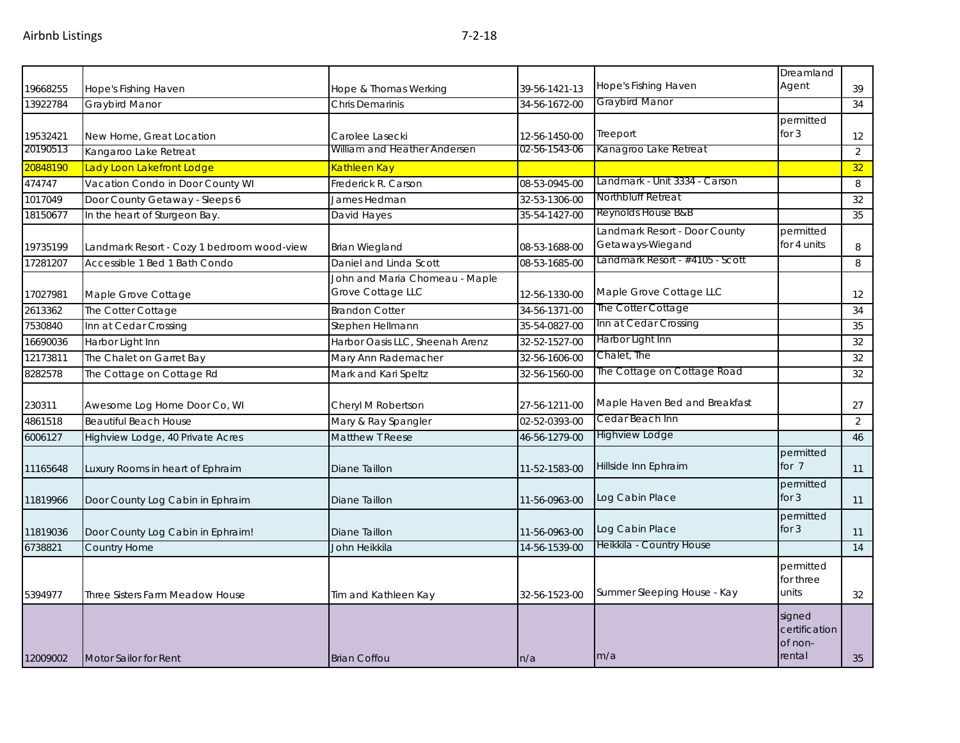|          |                                            |                                 |               |                                 | Dreamland     |                |
|----------|--------------------------------------------|---------------------------------|---------------|---------------------------------|---------------|----------------|
| 19668255 | Hope's Fishing Haven                       | Hope & Thomas Werking           | 39-56-1421-13 | <b>Hope's Fishing Haven</b>     | Agent         | 39             |
| 13922784 | Graybird Manor                             | Chris Demarinis                 | 34-56-1672-00 | <b>Graybird Manor</b>           |               | 34             |
|          |                                            |                                 |               |                                 | permitted     |                |
| 19532421 | New Home, Great Location                   | Carolee Lasecki                 | 12-56-1450-00 | Treeport                        | for $3$       | 12             |
| 20190513 | Kangaroo Lake Retreat                      | William and Heather Andersen    | 02-56-1543-06 | Kanagroo Lake Retreat           |               | $\overline{2}$ |
| 20848190 | Lady Loon Lakefront Lodge                  | Kathleen Kay                    |               |                                 |               | 32             |
| 474747   | Vacation Condo in Door County WI           | Frederick R. Carson             | 08-53-0945-00 | Landmark - Unit 3334 - Carson   |               | 8              |
| 1017049  | Door County Getaway - Sleeps 6             | James Hedman                    | 32-53-1306-00 | Northbluff Retreat              |               | 32             |
| 18150677 | In the heart of Sturgeon Bay.              | David Hayes                     | 35-54-1427-00 | Reynolds House B&B              |               | 35             |
|          |                                            |                                 |               | Landmark Resort - Door County   | permitted     |                |
| 19735199 | Landmark Resort - Cozy 1 bedroom wood-view | <b>Brian Wiegland</b>           | 08-53-1688-00 | Getaways-Wiegand                | for 4 units   | 8              |
| 17281207 | Accessible 1 Bed 1 Bath Condo              | Daniel and Linda Scott          | 08-53-1685-00 | Landmark Resort - #4105 - Scott |               | 8              |
|          |                                            | John and Maria Chomeau - Maple  |               |                                 |               |                |
| 17027981 | Maple Grove Cottage                        | Grove Cottage LLC               | 12-56-1330-00 | Maple Grove Cottage LLC         |               | 12             |
| 2613362  | The Cotter Cottage                         | <b>Brandon Cotter</b>           | 34-56-1371-00 | The Cotter Cottage              |               | 34             |
| 7530840  | Inn at Cedar Crossing                      | Stephen Hellmann                | 35-54-0827-00 | Inn at Cedar Crossing           |               | 35             |
| 16690036 | Harbor Light Inn                           | Harbor Oasis LLC, Sheenah Arenz | 32-52-1527-00 | Harbor Light Inn                |               | 32             |
| 12173811 | The Chalet on Garret Bay                   | Mary Ann Rademacher             | 32-56-1606-00 | Chalet, The                     |               | 32             |
| 8282578  | The Cottage on Cottage Rd                  | Mark and Kari Speltz            | 32-56-1560-00 | The Cottage on Cottage Road     |               | 32             |
|          |                                            |                                 |               |                                 |               |                |
| 230311   | Awesome Log Home Door Co, WI               | Cheryl M Robertson              | 27-56-1211-00 | Maple Haven Bed and Breakfast   |               | 27             |
| 4861518  | <b>Beautiful Beach House</b>               | Mary & Ray Spangler             | 02-52-0393-00 | Cedar Beach Inn                 |               | $\overline{2}$ |
| 6006127  | Highview Lodge, 40 Private Acres           | Matthew T Reese                 | 46-56-1279-00 | Highview Lodge                  |               | 46             |
|          |                                            |                                 |               |                                 | permitted     |                |
| 11165648 | Luxury Rooms in heart of Ephraim           | Diane Taillon                   | 11-52-1583-00 | Hillside Inn Ephraim            | for 7         | 11             |
|          |                                            |                                 |               |                                 | permitted     |                |
| 11819966 | Door County Log Cabin in Ephraim           | Diane Taillon                   | 11-56-0963-00 | Log Cabin Place                 | for 3         | 11             |
|          |                                            |                                 |               |                                 | permitted     |                |
| 11819036 | Door County Log Cabin in Ephraim!          | Diane Taillon                   | 11-56-0963-00 | Log Cabin Place                 | for $3$       | 11             |
| 6738821  | <b>Country Home</b>                        | John Heikkila                   | 14-56-1539-00 | Heikkila - Country House        |               | 14             |
|          |                                            |                                 |               |                                 | permitted     |                |
|          |                                            |                                 |               |                                 | for three     |                |
| 5394977  | Three Sisters Farm Meadow House            | Tim and Kathleen Kay            | 32-56-1523-00 | Summer Sleeping House - Kay     | units         | 32             |
|          |                                            |                                 |               |                                 | signed        |                |
|          |                                            |                                 |               |                                 | certification |                |
|          |                                            |                                 |               |                                 | of non-       |                |
| 12009002 | <b>Motor Sailor for Rent</b>               | <b>Brian Coffou</b>             | n/a           | m/a                             | rental        | 35             |